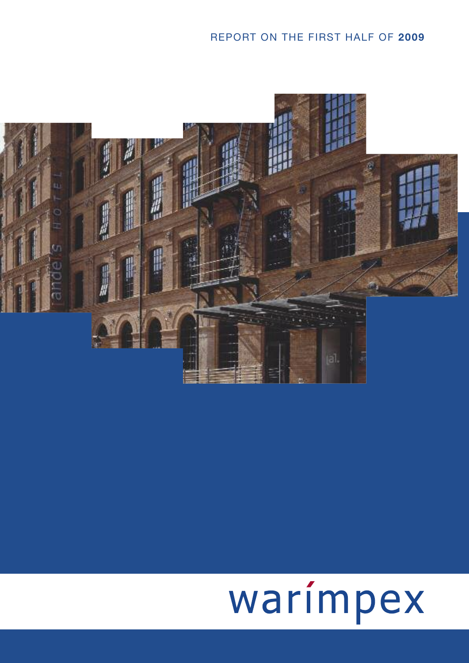# REPORT ON THE FIRST HALF OF **2009**



# warímpex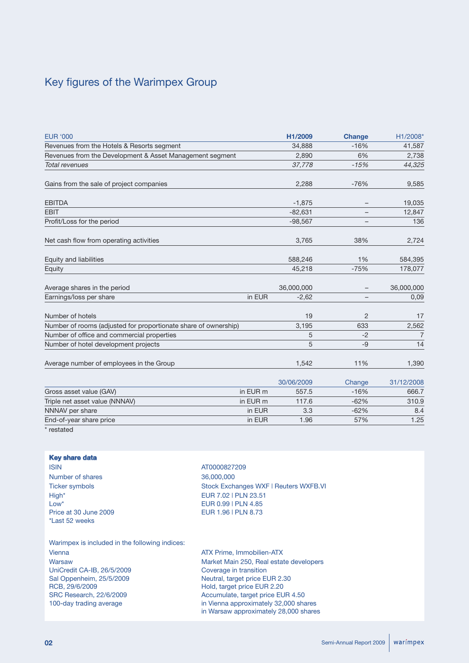# Key figures of the Warimpex Group

| <b>EUR '000</b>                                                 |          | H1/2009    | <b>Change</b>  | H1/2008*       |
|-----------------------------------------------------------------|----------|------------|----------------|----------------|
| Revenues from the Hotels & Resorts segment                      |          | 34,888     | $-16%$         | 41,587         |
| Revenues from the Development & Asset Management segment        |          | 2,890      | 6%             | 2,738          |
| Total revenues                                                  |          | 37,778     | $-15%$         | 44,325         |
| Gains from the sale of project companies                        |          | 2,288      | $-76%$         | 9,585          |
| <b>EBITDA</b>                                                   |          | $-1,875$   |                | 19,035         |
| <b>EBIT</b>                                                     |          | $-82,631$  |                | 12,847         |
| Profit/Loss for the period                                      |          | $-98,567$  |                | 136            |
| Net cash flow from operating activities                         |          | 3,765      | 38%            | 2,724          |
| Equity and liabilities                                          |          | 588,246    | 1%             | 584,395        |
| Equity                                                          |          | 45,218     | $-75%$         | 178,077        |
| Average shares in the period                                    |          | 36,000,000 |                | 36,000,000     |
| Earnings/loss per share                                         | in EUR   | $-2,62$    |                | 0,09           |
| Number of hotels                                                |          | 19         | $\overline{2}$ | 17             |
| Number of rooms (adjusted for proportionate share of ownership) |          | 3,195      | 633            | 2,562          |
| Number of office and commercial properties                      |          | 5          | $-2$           | $\overline{7}$ |
| Number of hotel development projects                            |          | 5          | $-9$           | 14             |
| Average number of employees in the Group                        |          | 1,542      | 11%            | 1,390          |
|                                                                 |          | 30/06/2009 | Change         | 31/12/2008     |
| Gross asset value (GAV)                                         | in EUR m | 557.5      | $-16%$         | 666.7          |
| Triple net asset value (NNNAV)                                  | in EUR m | 117.6      | $-62%$         | 310.9          |
| NNNAV per share                                                 | in EUR   | 3.3        | $-62%$         | 8.4            |
| End-of-year share price                                         | in EUR   | 1.96       | 57%            | 1.25           |
| $1 - 1 - 1$                                                     |          |            |                |                |

restated

## **Key share data**

ISIN AT0000827209 Number of shares 36,000,000 High\* EUR 7.02 | PLN 23.51<br>
Low\* EUR 0.99 | PLN 4.85 Price at 30 June 2009 **EUR 1.96 | PLN 8.73** \*Last 52 weeks

Ticker symbols Stock Exchanges WXF | Reuters WXFB.VI EUR 0.99 | PLN 4.85

Warimpex is included in the following indices: Vienna ATX Prime, Immobilien-ATX Warsaw Market Main 250, Real estate developers UniCredit CA-IB, 26/5/2009 Coverage in transition Sal Oppenheim, 25/5/2009 Neutral, target price EUR 2.30 RCB, 29/6/2009 Hold, target price EUR 2.20 SRC Research, 22/6/2009 Accumulate, target price EUR 4.50 100-day trading average in Vienna approximately 32,000 shares

in Warsaw approximately 28,000 shares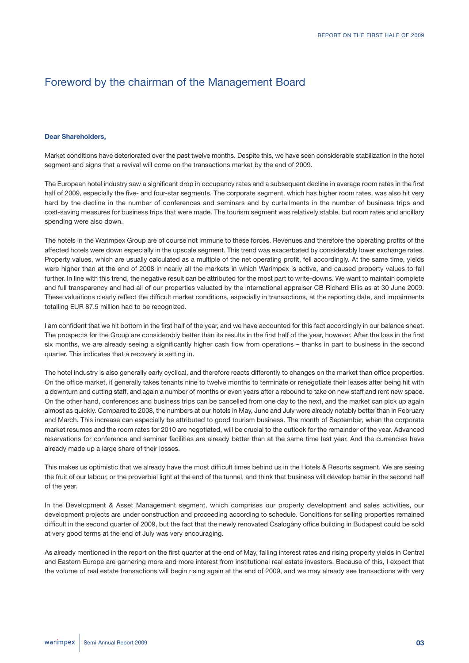# Foreword by the chairman of the Management Board

#### **Dear Shareholders,**

Market conditions have deteriorated over the past twelve months. Despite this, we have seen considerable stabilization in the hotel segment and signs that a revival will come on the transactions market by the end of 2009.

The European hotel industry saw a significant drop in occupancy rates and a subsequent decline in average room rates in the first half of 2009, especially the five- and four-star segments. The corporate segment, which has higher room rates, was also hit very hard by the decline in the number of conferences and seminars and by curtailments in the number of business trips and cost-saving measures for business trips that were made. The tourism segment was relatively stable, but room rates and ancillary spending were also down.

The hotels in the Warimpex Group are of course not immune to these forces. Revenues and therefore the operating profits of the affected hotels were down especially in the upscale segment. This trend was exacerbated by considerably lower exchange rates. Property values, which are usually calculated as a multiple of the net operating profit, fell accordingly. At the same time, yields were higher than at the end of 2008 in nearly all the markets in which Warimpex is active, and caused property values to fall further. In line with this trend, the negative result can be attributed for the most part to write-downs. We want to maintain complete and full transparency and had all of our properties valuated by the international appraiser CB Richard Ellis as at 30 June 2009. These valuations clearly reflect the difficult market conditions, especially in transactions, at the reporting date, and impairments totalling EUR 87.5 million had to be recognized.

I am confident that we hit bottom in the first half of the year, and we have accounted for this fact accordingly in our balance sheet. The prospects for the Group are considerably better than its results in the first half of the year, however. After the loss in the first six months, we are already seeing a significantly higher cash flow from operations – thanks in part to business in the second quarter. This indicates that a recovery is setting in.

The hotel industry is also generally early cyclical, and therefore reacts differently to changes on the market than office properties. On the office market, it generally takes tenants nine to twelve months to terminate or renegotiate their leases after being hit with a downturn and cutting staff, and again a number of months or even years after a rebound to take on new staff and rent new space. On the other hand, conferences and business trips can be cancelled from one day to the next, and the market can pick up again almost as quickly. Compared to 2008, the numbers at our hotels in May, June and July were already notably better than in February and March. This increase can especially be attributed to good tourism business. The month of September, when the corporate market resumes and the room rates for 2010 are negotiated, will be crucial to the outlook for the remainder of the year. Advanced reservations for conference and seminar facilities are already better than at the same time last year. And the currencies have already made up a large share of their losses.

This makes us optimistic that we already have the most difficult times behind us in the Hotels & Resorts segment. We are seeing the fruit of our labour, or the proverbial light at the end of the tunnel, and think that business will develop better in the second half of the year.

In the Development & Asset Management segment, which comprises our property development and sales activities, our development projects are under construction and proceeding according to schedule. Conditions for selling properties remained difficult in the second quarter of 2009, but the fact that the newly renovated Csalogány office building in Budapest could be sold at very good terms at the end of July was very encouraging.

As already mentioned in the report on the first quarter at the end of May, falling interest rates and rising property yields in Central and Eastern Europe are garnering more and more interest from institutional real estate investors. Because of this, I expect that the volume of real estate transactions will begin rising again at the end of 2009, and we may already see transactions with very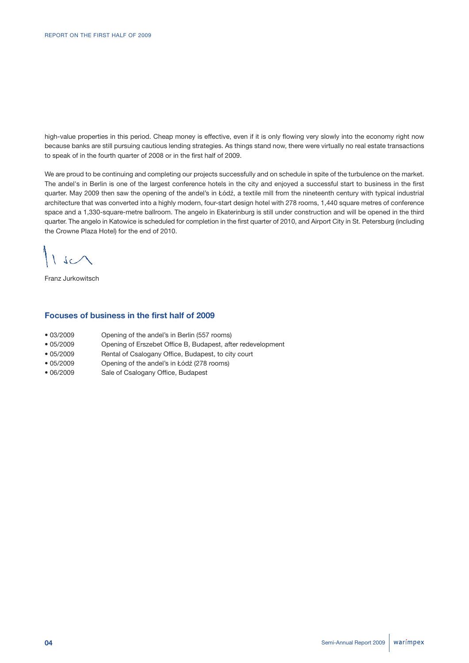high-value properties in this period. Cheap money is effective, even if it is only flowing very slowly into the economy right now because banks are still pursuing cautious lending strategies. As things stand now, there were virtually no real estate transactions to speak of in the fourth quarter of 2008 or in the first half of 2009.

We are proud to be continuing and completing our projects successfully and on schedule in spite of the turbulence on the market. The andel's in Berlin is one of the largest conference hotels in the city and enjoyed a successful start to business in the first quarter. May 2009 then saw the opening of the andel's in Łódź, a textile mill from the nineteenth century with typical industrial architecture that was converted into a highly modern, four-start design hotel with 278 rooms, 1,440 square metres of conference space and a 1,330-square-metre ballroom. The angelo in Ekaterinburg is still under construction and will be opened in the third quarter. The angelo in Katowice is scheduled for completion in the first quarter of 2010, and Airport City in St. Petersburg (including the Crowne Plaza Hotel) for the end of 2010.

 $\backslash$  sc $\land$ 

Franz Jurkowitsch

## **Focuses of business in the first half of 2009**

- 03/2009 Opening of the andel's in Berlin (557 rooms)
- 05/2009 Opening of Erszebet Office B, Budapest, after redevelopment
- 05/2009 Rental of Csalogany Office, Budapest, to city court
- 05/2009 Opening of the andel's in Łódź (278 rooms)
- 06/2009 Sale of Csalogany Office, Budapest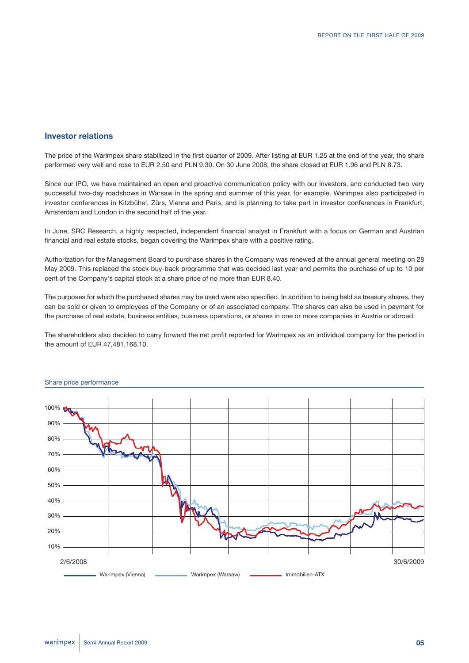## **Investor relations**

The price of the Warimpex share stabilized in the first quarter of 2009. After listing at EUR 1.25 at the end of the year, the share performed very well and rose to EUR 2.50 and PLN 9.30. On 30 June 2008, the share closed at EUR 1.96 and PLN 8.73.

Since our IPO, we have maintained an open and proactive communication policy with our investors, and conducted two very successful two-day roadshows in Warsaw in the spring and summer of this year, for example. Warimpex also participated in investor conferences in Kitzbühel, Zürs, Vienna and Paris, and is planning to take part in investor conferences in Frankfurt, Amsterdam and London in the second half of the year.

In June, SRC Research, a highly respected, independent financial analyst in Frankfurt with a focus on German and Austrian financial and real estate stocks, began covering the Warimpex share with a positive rating.

Authorization for the Management Board to purchase shares in the Company was renewed at the annual general meeting on 28 May 2009. This replaced the stock buy-back programme that was decided last year and permits the purchase of up to 10 per cent of the Company's capital stock at a share price of no more than EUR 8.40.

The purposes for which the purchased shares may be used were also specified. In addition to being held as treasury shares, they can be sold or given to employees of the Company or of an associated company. The shares can also be used in payment for the purchase of real estate, business entities, business operations, or shares in one or more companies in Austria or abroad.

The shareholders also decided to carry forward the net profit reported for Warimpex as an individual company for the period in the amount of EUR 47,481,168.10.



#### Share price performance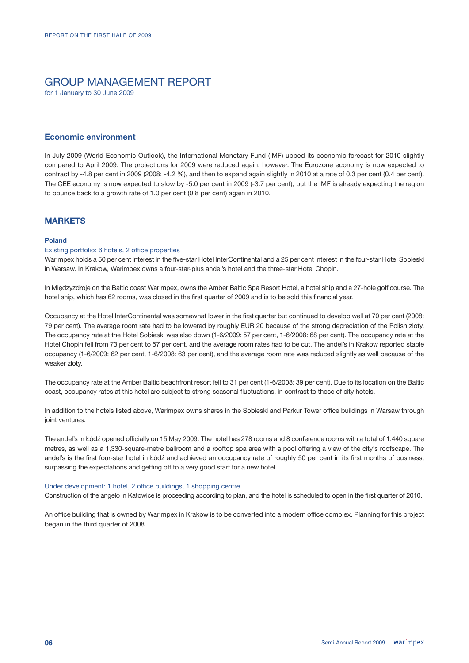# GROUP MANAGEMENT REPORT

for 1 January to 30 June 2009

## **Economic environment**

In July 2009 (World Economic Outlook), the International Monetary Fund (IMF) upped its economic forecast for 2010 slightly compared to April 2009. The projections for 2009 were reduced again, however. The Eurozone economy is now expected to contract by -4.8 per cent in 2009 (2008: -4.2 %), and then to expand again slightly in 2010 at a rate of 0.3 per cent (0.4 per cent). The CEE economy is now expected to slow by -5.0 per cent in 2009 (-3.7 per cent), but the IMF is already expecting the region to bounce back to a growth rate of 1.0 per cent (0.8 per cent) again in 2010.

## **MARKETS**

#### **Poland**

#### Existing portfolio: 6 hotels, 2 office properties

Warimpex holds a 50 per cent interest in the five-star Hotel InterContinental and a 25 per cent interest in the four-star Hotel Sobieski in Warsaw. In Krakow, Warimpex owns a four-star-plus andel's hotel and the three-star Hotel Chopin.

In Międzyzdroje on the Baltic coast Warimpex, owns the Amber Baltic Spa Resort Hotel, a hotel ship and a 27-hole golf course. The hotel ship, which has 62 rooms, was closed in the first quarter of 2009 and is to be sold this financial year.

Occupancy at the Hotel InterContinental was somewhat lower in the first quarter but continued to develop well at 70 per cent (2008: 79 per cent). The average room rate had to be lowered by roughly EUR 20 because of the strong depreciation of the Polish zloty. The occupancy rate at the Hotel Sobieski was also down (1-6/2009: 57 per cent, 1-6/2008: 68 per cent). The occupancy rate at the Hotel Chopin fell from 73 per cent to 57 per cent, and the average room rates had to be cut. The andel's in Krakow reported stable occupancy (1-6/2009: 62 per cent, 1-6/2008: 63 per cent), and the average room rate was reduced slightly as well because of the weaker zloty.

The occupancy rate at the Amber Baltic beachfront resort fell to 31 per cent (1-6/2008: 39 per cent). Due to its location on the Baltic coast, occupancy rates at this hotel are subject to strong seasonal fluctuations, in contrast to those of city hotels.

In addition to the hotels listed above, Warimpex owns shares in the Sobieski and Parkur Tower office buildings in Warsaw through joint ventures.

The andel's in Łódź opened officially on 15 May 2009. The hotel has 278 rooms and 8 conference rooms with a total of 1,440 square metres, as well as a 1,330-square-metre ballroom and a rooftop spa area with a pool offering a view of the city's roofscape. The andel's is the first four-star hotel in Łódź and achieved an occupancy rate of roughly 50 per cent in its first months of business, surpassing the expectations and getting off to a very good start for a new hotel.

#### Under development: 1 hotel, 2 office buildings, 1 shopping centre

Construction of the angelo in Katowice is proceeding according to plan, and the hotel is scheduled to open in the first quarter of 2010.

An office building that is owned by Warimpex in Krakow is to be converted into a modern office complex. Planning for this project began in the third quarter of 2008.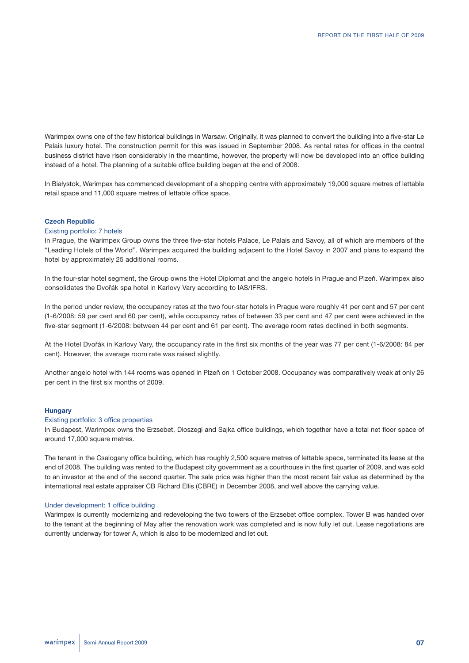Warimpex owns one of the few historical buildings in Warsaw. Originally, it was planned to convert the building into a five-star Le Palais luxury hotel. The construction permit for this was issued in September 2008. As rental rates for offices in the central business district have risen considerably in the meantime, however, the property will now be developed into an office building instead of a hotel. The planning of a suitable office building began at the end of 2008.

In Białystok, Warimpex has commenced development of a shopping centre with approximately 19,000 square metres of lettable retail space and 11,000 square metres of lettable office space.

#### **Czech Republic**

#### Existing portfolio: 7 hotels

In Prague, the Warimpex Group owns the three five-star hotels Palace, Le Palais and Savoy, all of which are members of the "Leading Hotels of the World". Warimpex acquired the building adjacent to the Hotel Savoy in 2007 and plans to expand the hotel by approximately 25 additional rooms.

In the four-star hotel segment, the Group owns the Hotel Diplomat and the angelo hotels in Prague and Plzeň. Warimpex also consolidates the Dvořák spa hotel in Karlovy Vary according to IAS/IFRS.

In the period under review, the occupancy rates at the two four-star hotels in Prague were roughly 41 per cent and 57 per cent (1-6/2008: 59 per cent and 60 per cent), while occupancy rates of between 33 per cent and 47 per cent were achieved in the five-star segment (1-6/2008: between 44 per cent and 61 per cent). The average room rates declined in both segments.

At the Hotel Dvořák in Karlovy Vary, the occupancy rate in the first six months of the year was 77 per cent (1-6/2008: 84 per cent). However, the average room rate was raised slightly.

Another angelo hotel with 144 rooms was opened in Plzeň on 1 October 2008. Occupancy was comparatively weak at only 26 per cent in the first six months of 2009.

#### **Hungary**

#### Existing portfolio: 3 office properties

In Budapest, Warimpex owns the Erzsebet, Dioszegi and Sajka office buildings, which together have a total net floor space of around 17,000 square metres.

The tenant in the Csalogany office building, which has roughly 2,500 square metres of lettable space, terminated its lease at the end of 2008. The building was rented to the Budapest city government as a courthouse in the first quarter of 2009, and was sold to an investor at the end of the second quarter. The sale price was higher than the most recent fair value as determined by the international real estate appraiser CB Richard Ellis (CBRE) in December 2008, and well above the carrying value.

#### Under development: 1 office building

Warimpex is currently modernizing and redeveloping the two towers of the Erzsebet office complex. Tower B was handed over to the tenant at the beginning of May after the renovation work was completed and is now fully let out. Lease negotiations are currently underway for tower A, which is also to be modernized and let out.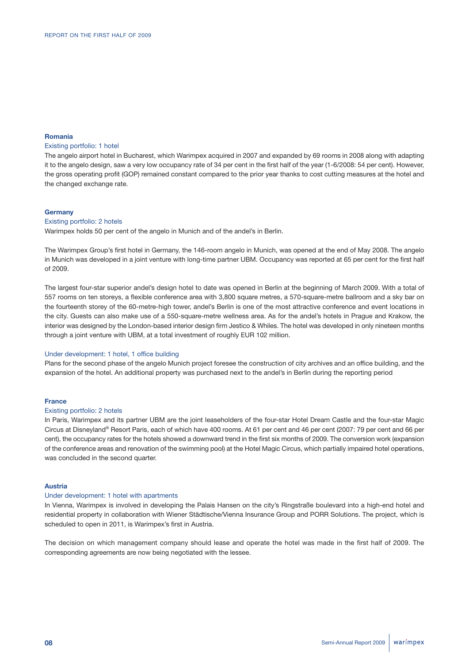#### **Romania**

#### Existing portfolio: 1 hotel

The angelo airport hotel in Bucharest, which Warimpex acquired in 2007 and expanded by 69 rooms in 2008 along with adapting it to the angelo design, saw a very low occupancy rate of 34 per cent in the first half of the year (1-6/2008: 54 per cent). However, the gross operating profit (GOP) remained constant compared to the prior year thanks to cost cutting measures at the hotel and the changed exchange rate.

#### **Germany**

#### Existing portfolio: 2 hotels

Warimpex holds 50 per cent of the angelo in Munich and of the andel's in Berlin.

The Warimpex Group's first hotel in Germany, the 146-room angelo in Munich, was opened at the end of May 2008. The angelo in Munich was developed in a joint venture with long-time partner UBM. Occupancy was reported at 65 per cent for the first half of 2009.

The largest four-star superior andel's design hotel to date was opened in Berlin at the beginning of March 2009. With a total of 557 rooms on ten storeys, a flexible conference area with 3,800 square metres, a 570-square-metre ballroom and a sky bar on the fourteenth storey of the 60-metre-high tower, andel's Berlin is one of the most attractive conference and event locations in the city. Guests can also make use of a 550-square-metre wellness area. As for the andel's hotels in Prague and Krakow, the interior was designed by the London-based interior design firm Jestico & Whiles. The hotel was developed in only nineteen months through a joint venture with UBM, at a total investment of roughly EUR 102 million.

#### Under development: 1 hotel, 1 office building

Plans for the second phase of the angelo Munich project foresee the construction of city archives and an office building, and the expansion of the hotel. An additional property was purchased next to the andel's in Berlin during the reporting period

#### **France**

#### Existing portfolio: 2 hotels

In Paris, Warimpex and its partner UBM are the joint leaseholders of the four-star Hotel Dream Castle and the four-star Magic Circus at Disneyland® Resort Paris, each of which have 400 rooms. At 61 per cent and 46 per cent (2007: 79 per cent and 66 per cent), the occupancy rates for the hotels showed a downward trend in the first six months of 2009. The conversion work (expansion of the conference areas and renovation of the swimming pool) at the Hotel Magic Circus, which partially impaired hotel operations, was concluded in the second quarter.

#### **Austria**

#### Under development: 1 hotel with apartments

In Vienna, Warimpex is involved in developing the Palais Hansen on the city's Ringstraße boulevard into a high-end hotel and residential property in collaboration with Wiener Städtische/Vienna Insurance Group and PORR Solutions. The project, which is scheduled to open in 2011, is Warimpex's first in Austria.

The decision on which management company should lease and operate the hotel was made in the first half of 2009. The corresponding agreements are now being negotiated with the lessee.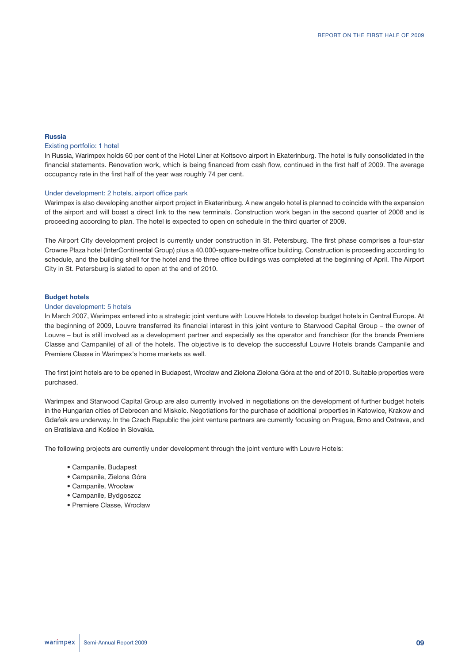#### **Russia**

#### Existing portfolio: 1 hotel

In Russia, Warimpex holds 60 per cent of the Hotel Liner at Koltsovo airport in Ekaterinburg. The hotel is fully consolidated in the financial statements. Renovation work, which is being financed from cash flow, continued in the first half of 2009. The average occupancy rate in the first half of the year was roughly 74 per cent.

#### Under development: 2 hotels, airport office park

Warimpex is also developing another airport project in Ekaterinburg. A new angelo hotel is planned to coincide with the expansion of the airport and will boast a direct link to the new terminals. Construction work began in the second quarter of 2008 and is proceeding according to plan. The hotel is expected to open on schedule in the third quarter of 2009.

The Airport City development project is currently under construction in St. Petersburg. The first phase comprises a four-star Crowne Plaza hotel (InterContinental Group) plus a 40,000-square-metre office building. Construction is proceeding according to schedule, and the building shell for the hotel and the three office buildings was completed at the beginning of April. The Airport City in St. Petersburg is slated to open at the end of 2010.

#### **Budget hotels**

#### Under development: 5 hotels

In March 2007, Warimpex entered into a strategic joint venture with Louvre Hotels to develop budget hotels in Central Europe. At the beginning of 2009, Louvre transferred its financial interest in this joint venture to Starwood Capital Group – the owner of Louvre – but is still involved as a development partner and especially as the operator and franchisor (for the brands Premiere Classe and Campanile) of all of the hotels. The objective is to develop the successful Louvre Hotels brands Campanile and Premiere Classe in Warimpex's home markets as well.

The first joint hotels are to be opened in Budapest, Wrocław and Zielona Zielona Góra at the end of 2010. Suitable properties were purchased.

Warimpex and Starwood Capital Group are also currently involved in negotiations on the development of further budget hotels in the Hungarian cities of Debrecen and Miskolc. Negotiations for the purchase of additional properties in Katowice, Krakow and Gdańsk are underway. In the Czech Republic the joint venture partners are currently focusing on Prague, Brno and Ostrava, and on Bratislava and Košice in Slovakia.

The following projects are currently under development through the joint venture with Louvre Hotels:

- Campanile, Budapest
- Campanile, Zielona Góra
- Campanile, Wrocław
- Campanile, Bydgoszcz
- Premiere Classe, Wrocław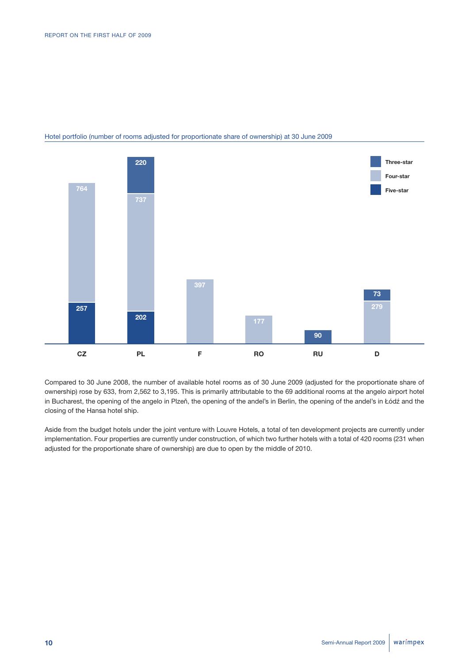

## Hotel portfolio (number of rooms adjusted for proportionate share of ownership) at 30 June 2009

Compared to 30 June 2008, the number of available hotel rooms as of 30 June 2009 (adjusted for the proportionate share of ownership) rose by 633, from 2,562 to 3,195. This is primarily attributable to the 69 additional rooms at the angelo airport hotel in Bucharest, the opening of the angelo in Plzeň, the opening of the andel's in Berlin, the opening of the andel's in Łódź and the closing of the Hansa hotel ship.

Aside from the budget hotels under the joint venture with Louvre Hotels, a total of ten development projects are currently under implementation. Four properties are currently under construction, of which two further hotels with a total of 420 rooms (231 when adjusted for the proportionate share of ownership) are due to open by the middle of 2010.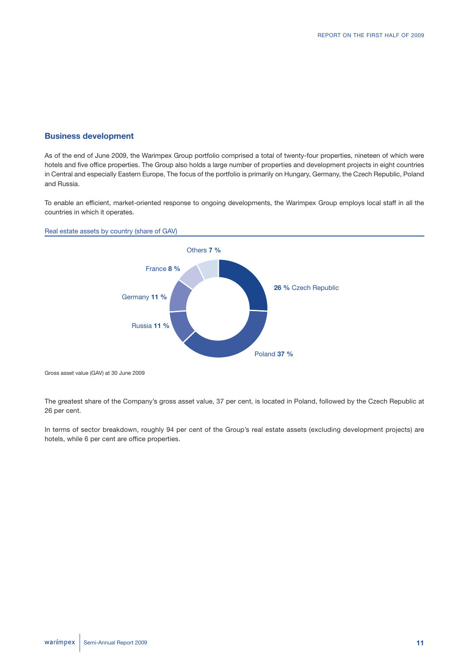## **Business development**

As of the end of June 2009, the Warimpex Group portfolio comprised a total of twenty-four properties, nineteen of which were hotels and five office properties. The Group also holds a large number of properties and development projects in eight countries in Central and especially Eastern Europe, The focus of the portfolio is primarily on Hungary, Germany, the Czech Republic, Poland and Russia.

To enable an efficient, market-oriented response to ongoing developments, the Warimpex Group employs local staff in all the countries in which it operates.

#### Real estate assets by country (share of GAV)



Gross asset value (GAV) at 30 June 2009

The greatest share of the Company's gross asset value, 37 per cent, is located in Poland, followed by the Czech Republic at 26 per cent.

In terms of sector breakdown, roughly 94 per cent of the Group's real estate assets (excluding development projects) are hotels, while 6 per cent are office properties.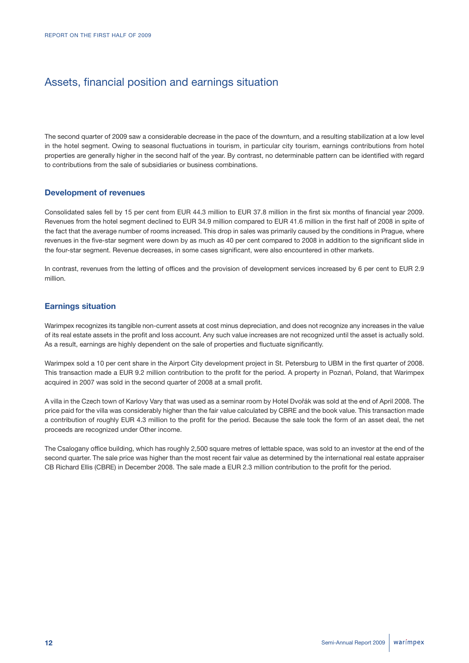# Assets, financial position and earnings situation

The second quarter of 2009 saw a considerable decrease in the pace of the downturn, and a resulting stabilization at a low level in the hotel segment. Owing to seasonal fluctuations in tourism, in particular city tourism, earnings contributions from hotel properties are generally higher in the second half of the year. By contrast, no determinable pattern can be identified with regard to contributions from the sale of subsidiaries or business combinations.

## **Development of revenues**

Consolidated sales fell by 15 per cent from EUR 44.3 million to EUR 37.8 million in the first six months of financial year 2009. Revenues from the hotel segment declined to EUR 34.9 million compared to EUR 41.6 million in the first half of 2008 in spite of the fact that the average number of rooms increased. This drop in sales was primarily caused by the conditions in Prague, where revenues in the five-star segment were down by as much as 40 per cent compared to 2008 in addition to the significant slide in the four-star segment. Revenue decreases, in some cases significant, were also encountered in other markets.

In contrast, revenues from the letting of offices and the provision of development services increased by 6 per cent to EUR 2.9 million.

## **Earnings situation**

Warimpex recognizes its tangible non-current assets at cost minus depreciation, and does not recognize any increases in the value of its real estate assets in the profit and loss account. Any such value increases are not recognized until the asset is actually sold. As a result, earnings are highly dependent on the sale of properties and fluctuate significantly.

Warimpex sold a 10 per cent share in the Airport City development project in St. Petersburg to UBM in the first quarter of 2008. This transaction made a EUR 9.2 million contribution to the profit for the period. A property in Poznań, Poland, that Warimpex acquired in 2007 was sold in the second quarter of 2008 at a small profit.

A villa in the Czech town of Karlovy Vary that was used as a seminar room by Hotel Dvořák was sold at the end of April 2008. The price paid for the villa was considerably higher than the fair value calculated by CBRE and the book value. This transaction made a contribution of roughly EUR 4.3 million to the profit for the period. Because the sale took the form of an asset deal, the net proceeds are recognized under Other income.

The Csalogany office building, which has roughly 2,500 square metres of lettable space, was sold to an investor at the end of the second quarter. The sale price was higher than the most recent fair value as determined by the international real estate appraiser CB Richard Ellis (CBRE) in December 2008. The sale made a EUR 2.3 million contribution to the profit for the period.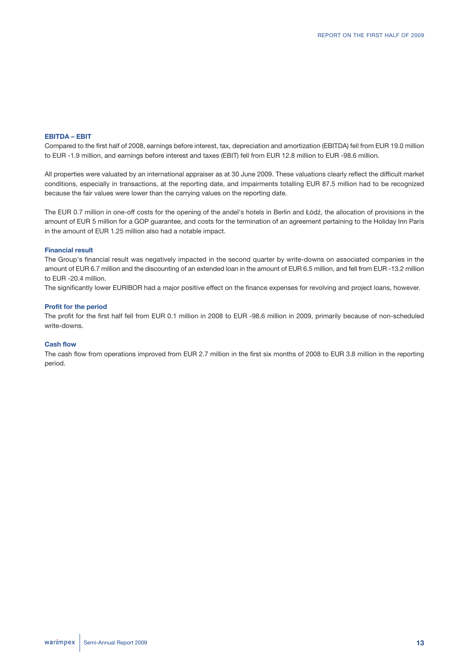#### **EBITDA – EBIT**

Compared to the first half of 2008, earnings before interest, tax, depreciation and amortization (EBITDA) fell from EUR 19.0 million to EUR -1.9 million, and earnings before interest and taxes (EBIT) fell from EUR 12.8 million to EUR -98.6 million.

All properties were valuated by an international appraiser as at 30 June 2009. These valuations clearly reflect the difficult market conditions, especially in transactions, at the reporting date, and impairments totalling EUR 87.5 million had to be recognized because the fair values were lower than the carrying values on the reporting date.

The EUR 0.7 million in one-off costs for the opening of the andel's hotels in Berlin and Łódź, the allocation of provisions in the amount of EUR 5 million for a GOP guarantee, and costs for the termination of an agreement pertaining to the Holiday Inn Paris in the amount of EUR 1.25 million also had a notable impact.

#### **Financial result**

The Group's financial result was negatively impacted in the second quarter by write-downs on associated companies in the amount of EUR 6.7 million and the discounting of an extended loan in the amount of EUR 6.5 million, and fell from EUR -13.2 million to EUR -20.4 million.

The significantly lower EURIBOR had a major positive effect on the finance expenses for revolving and project loans, however.

#### **Profit for the period**

The profit for the first half fell from EUR 0.1 million in 2008 to EUR -98.6 million in 2009, primarily because of non-scheduled write-downs.

#### **Cash flow**

The cash flow from operations improved from EUR 2.7 million in the first six months of 2008 to EUR 3.8 million in the reporting period.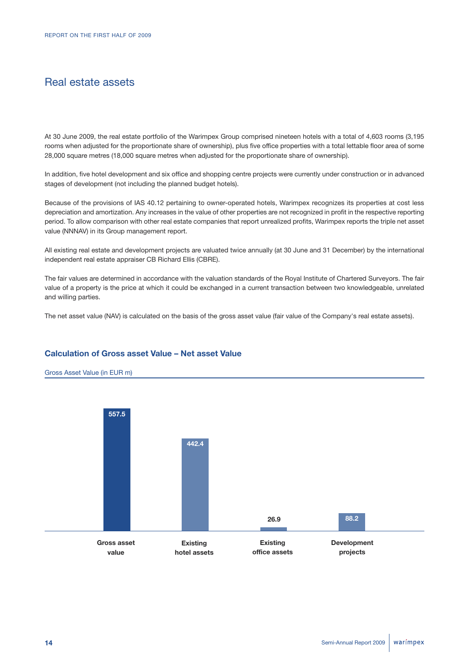# Real estate assets

At 30 June 2009, the real estate portfolio of the Warimpex Group comprised nineteen hotels with a total of 4,603 rooms (3,195 rooms when adjusted for the proportionate share of ownership), plus five office properties with a total lettable floor area of some 28,000 square metres (18,000 square metres when adjusted for the proportionate share of ownership).

In addition, five hotel development and six office and shopping centre projects were currently under construction or in advanced stages of development (not including the planned budget hotels).

Because of the provisions of IAS 40.12 pertaining to owner-operated hotels, Warimpex recognizes its properties at cost less depreciation and amortization. Any increases in the value of other properties are not recognized in profit in the respective reporting period. To allow comparison with other real estate companies that report unrealized profits, Warimpex reports the triple net asset value (NNNAV) in its Group management report.

All existing real estate and development projects are valuated twice annually (at 30 June and 31 December) by the international independent real estate appraiser CB Richard Ellis (CBRE).

The fair values are determined in accordance with the valuation standards of the Royal Institute of Chartered Surveyors. The fair value of a property is the price at which it could be exchanged in a current transaction between two knowledgeable, unrelated and willing parties.

The net asset value (NAV) is calculated on the basis of the gross asset value (fair value of the Company's real estate assets).

## **Calculation of Gross asset Value – Net asset Value**



#### warímpex **14** Semi-Annual Report 2009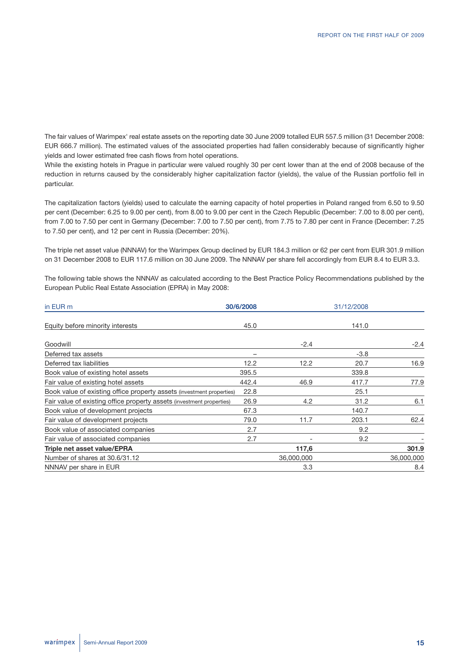The fair values of Warimpex' real estate assets on the reporting date 30 June 2009 totalled EUR 557.5 million (31 December 2008: EUR 666.7 million). The estimated values of the associated properties had fallen considerably because of significantly higher yields and lower estimated free cash flows from hotel operations.

While the existing hotels in Prague in particular were valued roughly 30 per cent lower than at the end of 2008 because of the reduction in returns caused by the considerably higher capitalization factor (yields), the value of the Russian portfolio fell in particular.

The capitalization factors (yields) used to calculate the earning capacity of hotel properties in Poland ranged from 6.50 to 9.50 per cent (December: 6.25 to 9.00 per cent), from 8.00 to 9.00 per cent in the Czech Republic (December: 7.00 to 8.00 per cent), from 7.00 to 7.50 per cent in Germany (December: 7.00 to 7.50 per cent), from 7.75 to 7.80 per cent in France (December: 7.25 to 7.50 per cent), and 12 per cent in Russia (December: 20%).

The triple net asset value (NNNAV) for the Warimpex Group declined by EUR 184.3 million or 62 per cent from EUR 301.9 million on 31 December 2008 to EUR 117.6 million on 30 June 2009. The NNNAV per share fell accordingly from EUR 8.4 to EUR 3.3.

The following table shows the NNNAV as calculated according to the Best Practice Policy Recommendations published by the European Public Real Estate Association (EPRA) in May 2008:

| in EUR m                                                              | 30/6/2008 |                 | 31/12/2008 |            |
|-----------------------------------------------------------------------|-----------|-----------------|------------|------------|
| Equity before minority interests                                      | 45.0      |                 | 141.0      |            |
| Goodwill                                                              |           | $-2.4$          |            | $-2.4$     |
| Deferred tax assets                                                   |           |                 | $-3.8$     |            |
| Deferred tax liabilities                                              | 12.2      | 12.2            | 20.7       | 16.9       |
| Book value of existing hotel assets                                   | 395.5     |                 | 339.8      |            |
| Fair value of existing hotel assets                                   | 442.4     | 46.9            | 417.7      | 77.9       |
| Book value of existing office property assets (investment properties) | 22.8      |                 | 25.1       |            |
| Fair value of existing office property assets (investment properties) | 26.9      | 4.2             | 31.2       | 6.1        |
| Book value of development projects                                    | 67.3      |                 | 140.7      |            |
| Fair value of development projects                                    | 79.0      | 11.7            | 203.1      | 62.4       |
| Book value of associated companies                                    | 2.7       |                 | 9.2        |            |
| Fair value of associated companies                                    | 2.7       | $\qquad \qquad$ | 9.2        |            |
| Triple net asset value/EPRA                                           |           | 117,6           |            | 301.9      |
| Number of shares at 30.6/31.12                                        |           | 36,000,000      |            | 36,000,000 |
| NNNAV per share in EUR                                                |           | 3.3             |            | 8.4        |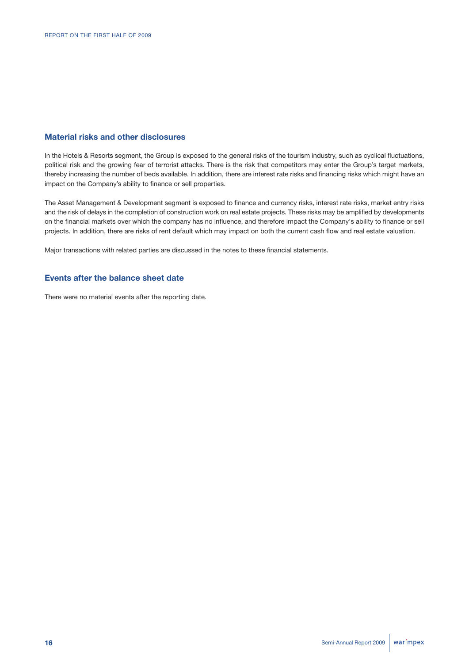## **Material risks and other disclosures**

In the Hotels & Resorts segment, the Group is exposed to the general risks of the tourism industry, such as cyclical fluctuations, political risk and the growing fear of terrorist attacks. There is the risk that competitors may enter the Group's target markets, thereby increasing the number of beds available. In addition, there are interest rate risks and financing risks which might have an impact on the Company's ability to finance or sell properties.

The Asset Management & Development segment is exposed to finance and currency risks, interest rate risks, market entry risks and the risk of delays in the completion of construction work on real estate projects. These risks may be amplified by developments on the financial markets over which the company has no influence, and therefore impact the Company's ability to finance or sell projects. In addition, there are risks of rent default which may impact on both the current cash flow and real estate valuation.

Major transactions with related parties are discussed in the notes to these financial statements.

## **Events after the balance sheet date**

There were no material events after the reporting date.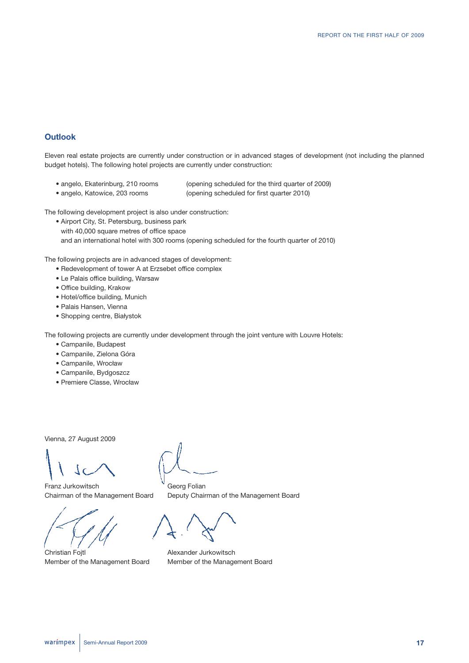## **Outlook**

Eleven real estate projects are currently under construction or in advanced stages of development (not including the planned budget hotels). The following hotel projects are currently under construction:

- 
- 
- angelo, Ekaterinburg, 210 rooms (opening scheduled for the third quarter of 2009)
- angelo, Katowice, 203 rooms (opening scheduled for first quarter 2010)

The following development project is also under construction:

• Airport City, St. Petersburg, business park with 40,000 square metres of office space and an international hotel with 300 rooms (opening scheduled for the fourth quarter of 2010)

The following projects are in advanced stages of development:

- Redevelopment of tower A at Erzsebet office complex
- Le Palais office building, Warsaw
- Office building, Krakow
- Hotel/office building, Munich
- Palais Hansen, Vienna
- Shopping centre, Białystok

The following projects are currently under development through the joint venture with Louvre Hotels:

- Campanile, Budapest
- Campanile, Zielona Góra
- Campanile, Wrocław
- Campanile, Bydgoszcz
- Premiere Classe, Wrocław

Vienna, 27 August 2009

Franz Jurkowitsch Georg Folian

Member of the Management Board Member of the Management Board

Chairman of the Management Board Deputy Chairman of the Management Board

Christian Fojtl **Alexander Jurkowitsch**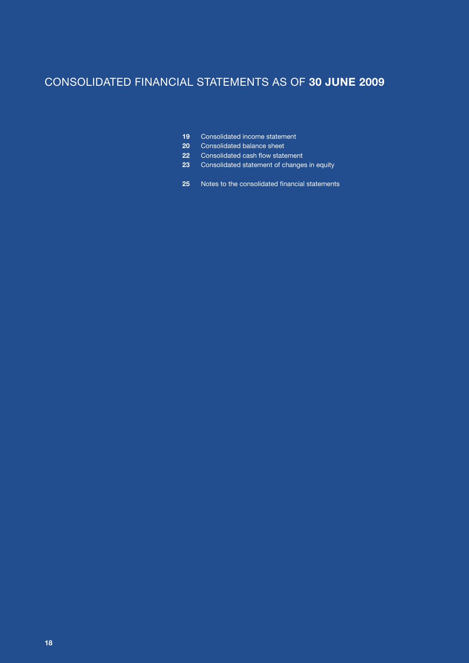# CONSOLIDATED FINANCIAL STATEMENTS AS OF **30 JUNE 2009**

- Consolidated income statement
- Consolidated balance sheet
- Consolidated cash flow statement
- Consolidated statement of changes in equity
- Notes to the consolidated financial statements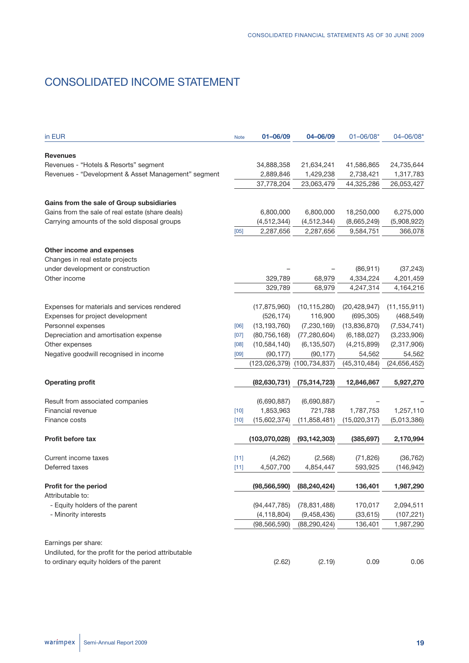# CONSOLIDATED INCOME STATEMENT

| in EUR                                                | <b>Note</b> | 01-06/09        | 04-06/09        | $01 - 06/08*$          | 04-06/08*              |
|-------------------------------------------------------|-------------|-----------------|-----------------|------------------------|------------------------|
| <b>Revenues</b>                                       |             |                 |                 |                        |                        |
| Revenues - "Hotels & Resorts" segment                 |             | 34,888,358      | 21,634,241      | 41,586,865             | 24,735,644             |
| Revenues - "Development & Asset Management" segment   |             | 2,889,846       | 1,429,238       | 2,738,421              | 1,317,783              |
|                                                       |             | 37,778,204      | 23,063,479      | 44,325,286             | 26,053,427             |
| Gains from the sale of Group subsidiaries             |             |                 |                 |                        |                        |
| Gains from the sale of real estate (share deals)      |             | 6,800,000       | 6,800,000       | 18,250,000             | 6,275,000              |
| Carrying amounts of the sold disposal groups          |             | (4, 512, 344)   | (4, 512, 344)   | (8,665,249)            | (5,908,922)            |
|                                                       | [05]        | 2,287,656       | 2,287,656       | 9,584,751              | 366,078                |
| Other income and expenses                             |             |                 |                 |                        |                        |
| Changes in real estate projects                       |             |                 |                 |                        |                        |
| under development or construction                     |             |                 |                 | (86, 911)              | (37, 243)              |
| Other income                                          |             | 329,789         | 68,979          |                        |                        |
|                                                       |             | 329,789         | 68,979          | 4,334,224<br>4,247,314 | 4,201,459<br>4,164,216 |
|                                                       |             |                 |                 |                        |                        |
| Expenses for materials and services rendered          |             | (17, 875, 960)  | (10, 115, 280)  | (20, 428, 947)         | (11, 155, 911)         |
| Expenses for project development                      |             | (526, 174)      | 116,900         | (695, 305)             | (468, 549)             |
| Personnel expenses                                    | [06]        | (13, 193, 760)  | (7, 230, 169)   | (13,836,870)           | (7, 534, 741)          |
| Depreciation and amortisation expense                 | [07]        | (80, 756, 168)  | (77, 280, 604)  | (6, 188, 027)          | (3,233,906)            |
| Other expenses                                        | [08]        | (10, 584, 140)  | (6, 135, 507)   | (4, 215, 899)          | (2,317,906)            |
| Negative goodwill recognised in income                | [09]        | (90, 177)       | (90, 177)       | 54,562                 | 54,562                 |
|                                                       |             | (123, 026, 379) | (100, 734, 837) | (45, 310, 484)         | (24, 656, 452)         |
|                                                       |             |                 |                 |                        |                        |
| <b>Operating profit</b>                               |             | (82, 630, 731)  | (75, 314, 723)  | 12,846,867             | 5,927,270              |
| Result from associated companies                      |             | (6,690,887)     | (6,690,887)     |                        |                        |
| Financial revenue                                     | $[10]$      | 1,853,963       | 721,788         | 1,787,753              | 1,257,110              |
| Finance costs                                         | $[10]$      | (15,602,374)    | (11, 858, 481)  | (15,020,317)           | (5,013,386)            |
|                                                       |             |                 |                 |                        |                        |
| <b>Profit before tax</b>                              |             | (103,070,028)   | (93, 142, 303)  | (385, 697)             | 2,170,994              |
| Current income taxes                                  | [11]        | (4,262)         | (2,568)         | (71, 826)              | (36, 762)              |
| Deferred taxes                                        | [11]        | 4,507,700       | 4,854,447       | 593,925                | (146, 942)             |
| Profit for the period                                 |             | (98, 566, 590)  | (88, 240, 424)  | 136,401                | 1,987,290              |
| Attributable to:                                      |             |                 |                 |                        |                        |
| - Equity holders of the parent                        |             | (94, 447, 785)  | (78, 831, 488)  | 170,017                | 2,094,511              |
| - Minority interests                                  |             | (4, 118, 804)   | (9,458,436)     | (33, 615)              | (107, 221)             |
|                                                       |             | (98, 566, 590)  | (88, 290, 424)  | 136,401                | 1,987,290              |
|                                                       |             |                 |                 |                        |                        |
| Earnings per share:                                   |             |                 |                 |                        |                        |
| Undiluted, for the profit for the period attributable |             |                 |                 |                        |                        |
| to ordinary equity holders of the parent              |             | (2.62)          | (2.19)          | 0.09                   | 0.06                   |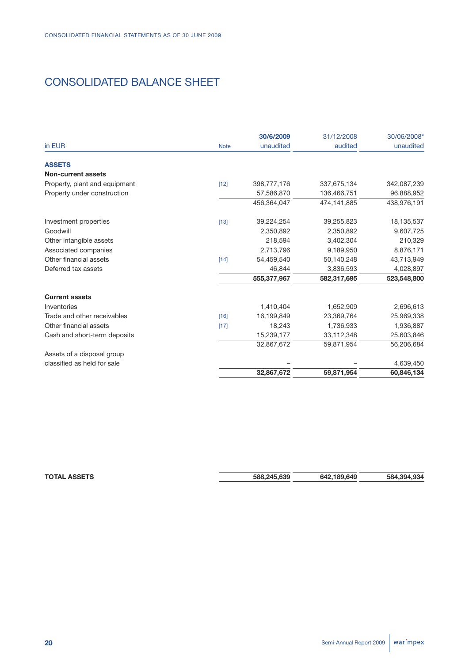# CONSOLIDATED BALANCE SHEET

|                               |             | 30/6/2009   | 31/12/2008  | 30/06/2008* |
|-------------------------------|-------------|-------------|-------------|-------------|
| in EUR                        | <b>Note</b> | unaudited   | audited     | unaudited   |
| <b>ASSETS</b>                 |             |             |             |             |
| <b>Non-current assets</b>     |             |             |             |             |
| Property, plant and equipment | $[12]$      | 398,777,176 | 337,675,134 | 342,087,239 |
| Property under construction   |             | 57,586,870  | 136,466,751 | 96,888,952  |
|                               |             | 456.364.047 | 474,141,885 | 438,976,191 |
| Investment properties         | $[13]$      | 39,224,254  | 39,255,823  | 18,135,537  |
| Goodwill                      |             | 2,350,892   | 2,350,892   | 9,607,725   |
| Other intangible assets       |             | 218,594     | 3,402,304   | 210,329     |
| Associated companies          |             | 2,713,796   | 9,189,950   | 8,876,171   |
| Other financial assets        | $[14]$      | 54,459,540  | 50,140,248  | 43,713,949  |
| Deferred tax assets           |             | 46.844      | 3,836,593   | 4,028,897   |
|                               |             | 555,377,967 | 582,317,695 | 523,548,800 |
| <b>Current assets</b>         |             |             |             |             |
| Inventories                   |             | 1,410,404   | 1,652,909   | 2,696,613   |
| Trade and other receivables   | $[16]$      | 16,199,849  | 23,369,764  | 25,969,338  |
| Other financial assets        | $[17]$      | 18,243      | 1,736,933   | 1,936,887   |
| Cash and short-term deposits  |             | 15,239,177  | 33,112,348  | 25,603,846  |
|                               |             | 32,867,672  | 59,871,954  | 56,206,684  |
| Assets of a disposal group    |             |             |             |             |
| classified as held for sale   |             |             |             | 4,639,450   |
|                               |             | 32,867,672  | 59,871,954  | 60,846,134  |

**TOTAL ASSETS 588,245,639 642,189,649 584,394,934**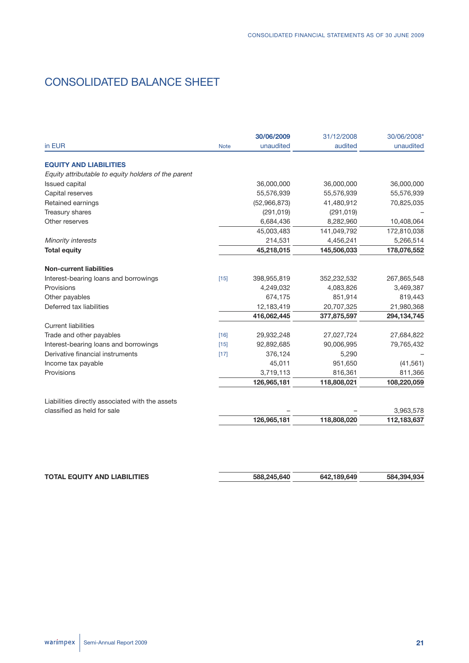# CONSOLIDATED BALANCE SHEET

|                                                     |             | 30/06/2009   | 31/12/2008  | 30/06/2008*   |
|-----------------------------------------------------|-------------|--------------|-------------|---------------|
| in EUR                                              | <b>Note</b> | unaudited    | audited     | unaudited     |
| <b>EQUITY AND LIABILITIES</b>                       |             |              |             |               |
| Equity attributable to equity holders of the parent |             |              |             |               |
| <b>Issued capital</b>                               |             | 36,000,000   | 36,000,000  | 36,000,000    |
| Capital reserves                                    |             | 55,576,939   | 55,576,939  | 55,576,939    |
| Retained earnings                                   |             | (52,966,873) | 41,480,912  | 70,825,035    |
| Treasury shares                                     |             | (291, 019)   | (291, 019)  |               |
| Other reserves                                      |             | 6,684,436    | 8,282,960   | 10,408,064    |
|                                                     |             | 45,003,483   | 141,049,792 | 172,810,038   |
| Minority interests                                  |             | 214,531      | 4,456,241   | 5,266,514     |
| <b>Total equity</b>                                 |             | 45,218,015   | 145,506,033 | 178,076,552   |
| <b>Non-current liabilities</b>                      |             |              |             |               |
| Interest-bearing loans and borrowings               | $[15]$      | 398,955,819  | 352,232,532 | 267,865,548   |
| Provisions                                          |             | 4,249,032    | 4,083,826   | 3,469,387     |
| Other payables                                      |             | 674,175      | 851,914     | 819,443       |
| Deferred tax liabilities                            |             | 12,183,419   | 20,707,325  | 21,980,368    |
|                                                     |             | 416,062,445  | 377,875,597 | 294, 134, 745 |
| <b>Current liabilities</b>                          |             |              |             |               |
| Trade and other payables                            | $[16]$      | 29,932,248   | 27,027,724  | 27,684,822    |
| Interest-bearing loans and borrowings               | $[15]$      | 92,892,685   | 90,006,995  | 79,765,432    |
| Derivative financial instruments                    | [17]        | 376,124      | 5,290       |               |
| Income tax payable                                  |             | 45,011       | 951,650     | (41, 561)     |
| Provisions                                          |             | 3,719,113    | 816,361     | 811,366       |
|                                                     |             | 126,965,181  | 118,808,021 | 108,220,059   |
| Liabilities directly associated with the assets     |             |              |             |               |
| classified as held for sale                         |             |              |             | 3,963,578     |
|                                                     |             | 126,965,181  | 118,808,020 | 112,183,637   |

| <b>TOTAL EQUITY AND LIABILITIES</b> | 588.245.640 | 642,189,649 | 584,394,934 |
|-------------------------------------|-------------|-------------|-------------|
|                                     |             |             |             |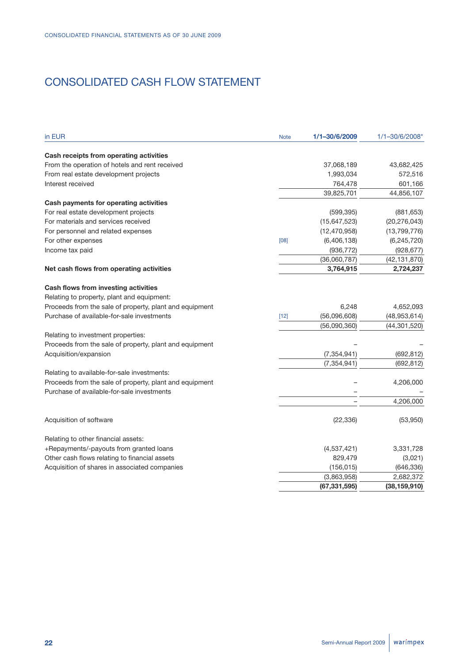# CONSOLIDATED CASH FLOW STATEMENT

| in EUR                                                  | <b>Note</b> | 1/1-30/6/2009  | 1/1-30/6/2008* |
|---------------------------------------------------------|-------------|----------------|----------------|
| Cash receipts from operating activities                 |             |                |                |
| From the operation of hotels and rent received          |             | 37,068,189     | 43,682,425     |
| From real estate development projects                   |             | 1,993,034      | 572,516        |
| Interest received                                       |             | 764,478        | 601,166        |
|                                                         |             | 39,825,701     | 44,856,107     |
| Cash payments for operating activities                  |             |                |                |
| For real estate development projects                    |             | (599, 395)     | (881, 653)     |
| For materials and services received                     |             | (15,647,523)   | (20, 276, 043) |
| For personnel and related expenses                      |             | (12, 470, 958) | (13,799,776)   |
| For other expenses                                      | [08]        | (6,406,138)    | (6, 245, 720)  |
| Income tax paid                                         |             | (936, 772)     | (928, 677)     |
|                                                         |             | (36,060,787)   | (42, 131, 870) |
| Net cash flows from operating activities                |             | 3,764,915      | 2,724,237      |
| Cash flows from investing activities                    |             |                |                |
| Relating to property, plant and equipment:              |             |                |                |
| Proceeds from the sale of property, plant and equipment |             | 6,248          | 4,652,093      |
| Purchase of available-for-sale investments              | $[12]$      | (56,096,608)   | (48, 953, 614) |
|                                                         |             | (56,090,360)   | (44, 301, 520) |
| Relating to investment properties:                      |             |                |                |
| Proceeds from the sale of property, plant and equipment |             |                |                |
| Acquisition/expansion                                   |             | (7, 354, 941)  | (692, 812)     |
|                                                         |             | (7, 354, 941)  | (692, 812)     |
| Relating to available-for-sale investments:             |             |                |                |
| Proceeds from the sale of property, plant and equipment |             |                | 4,206,000      |
| Purchase of available-for-sale investments              |             |                |                |
|                                                         |             |                | 4,206,000      |
| Acquisition of software                                 |             | (22, 336)      | (53,950)       |
| Relating to other financial assets:                     |             |                |                |
| +Repayments/-payouts from granted loans                 |             | (4,537,421)    | 3,331,728      |
| Other cash flows relating to financial assets           |             | 829,479        | (3,021)        |
| Acquisition of shares in associated companies           |             | (156, 015)     | (646, 336)     |
|                                                         |             | (3,863,958)    | 2,682,372      |
|                                                         |             | (67, 331, 595) | (38, 159, 910) |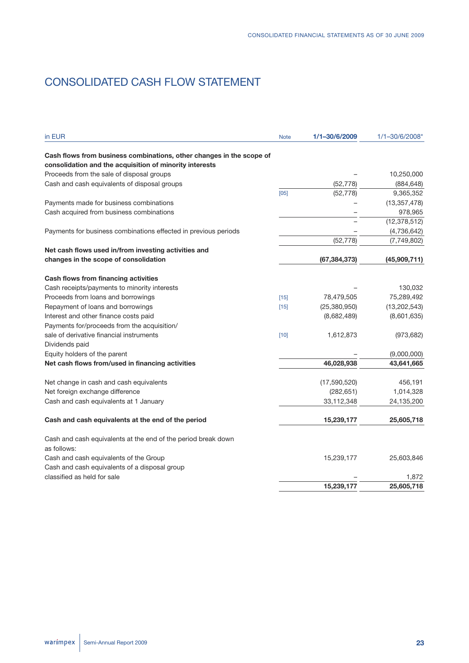# CONSOLIDATED CASH FLOW STATEMENT

| in EUR                                                                       | <b>Note</b> | 1/1-30/6/2009  | 1/1-30/6/2008* |
|------------------------------------------------------------------------------|-------------|----------------|----------------|
| Cash flows from business combinations, other changes in the scope of         |             |                |                |
| consolidation and the acquisition of minority interests                      |             |                |                |
| Proceeds from the sale of disposal groups                                    |             |                | 10,250,000     |
| Cash and cash equivalents of disposal groups                                 |             | (52, 778)      | (884, 648)     |
|                                                                              | [05]        | (52, 778)      | 9,365,352      |
| Payments made for business combinations                                      |             |                | (13, 357, 478) |
| Cash acquired from business combinations                                     |             |                | 978,965        |
|                                                                              |             |                | (12, 378, 512) |
| Payments for business combinations effected in previous periods              |             |                | (4,736,642)    |
|                                                                              |             | (52, 778)      | (7,749,802)    |
| Net cash flows used in/from investing activities and                         |             |                |                |
| changes in the scope of consolidation                                        |             | (67, 384, 373) | (45,909,711)   |
| Cash flows from financing activities                                         |             |                |                |
| Cash receipts/payments to minority interests                                 |             |                | 130,032        |
| Proceeds from loans and borrowings                                           | $[15]$      | 78,479,505     | 75,289,492     |
| Repayment of loans and borrowings                                            | $[15]$      | (25, 380, 950) | (13, 202, 543) |
| Interest and other finance costs paid                                        |             | (8,682,489)    | (8,601,635)    |
| Payments for/proceeds from the acquisition/                                  |             |                |                |
| sale of derivative financial instruments                                     | $[10]$      | 1,612,873      | (973, 682)     |
| Dividends paid                                                               |             |                |                |
| Equity holders of the parent                                                 |             |                | (9,000,000)    |
| Net cash flows from/used in financing activities                             |             | 46,028,938     | 43,641,665     |
| Net change in cash and cash equivalents                                      |             | (17,590,520)   | 456,191        |
| Net foreign exchange difference                                              |             | (282, 651)     | 1,014,328      |
| Cash and cash equivalents at 1 January                                       |             | 33,112,348     | 24,135,200     |
| Cash and cash equivalents at the end of the period                           |             | 15,239,177     | 25,605,718     |
|                                                                              |             |                |                |
| Cash and cash equivalents at the end of the period break down<br>as follows: |             |                |                |
| Cash and cash equivalents of the Group                                       |             | 15,239,177     | 25,603,846     |
| Cash and cash equivalents of a disposal group                                |             |                |                |
| classified as held for sale                                                  |             |                | 1,872          |
|                                                                              |             | 15,239,177     | 25,605,718     |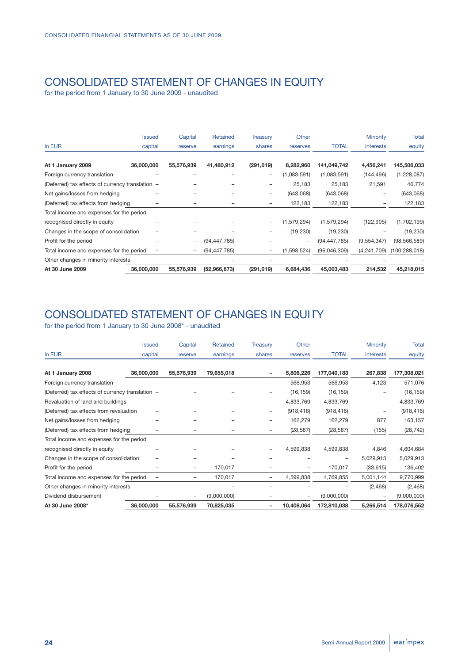# CONSOLIDATED STATEMENT OF CHANGES IN EQUITY

for the period from 1 January to 30 June 2009 - unaudited

|                                                  | <b>Issued</b> | Capital    | Retained       | <b>Treasury</b>   | Other       |                | Minority         | Total           |
|--------------------------------------------------|---------------|------------|----------------|-------------------|-------------|----------------|------------------|-----------------|
| in EUR                                           | capital       | reserve    | earnings       | shares            | reserves    | <b>TOTAL</b>   | <b>interests</b> | equity          |
|                                                  |               |            |                |                   |             |                |                  |                 |
| At 1 January 2009                                | 36,000,000    | 55,576,939 | 41,480,912     | (291, 019)        | 8,282,960   | 141,049,742    | 4,456,241        | 145,506,033     |
| Foreign currency translation                     |               |            |                | $\qquad \qquad -$ | (1,083,591) | (1,083,591)    | (144, 496)       | (1,228,087)     |
| (Deferred) tax effects of currency translation - |               |            |                | -                 | 25,183      | 25,183         | 21,591           | 46,774          |
| Net gains/losses from hedging                    |               |            |                | $\qquad \qquad -$ | (643,068)   | (643,068)      |                  | (643,068)       |
| (Deferred) tax effects from hedging              |               |            |                | $\qquad \qquad -$ | 122,183     | 122,183        |                  | 122,183         |
| Total income and expenses for the period         |               |            |                |                   |             |                |                  |                 |
| recognised directly in equity                    |               |            |                | $\qquad \qquad -$ | (1,579,294) | (1,579,294)    | (122, 905)       | (1,702,199)     |
| Changes in the scope of consolidation            |               |            |                | -                 | (19,230)    | (19, 230)      |                  | (19, 230)       |
| Profit for the period                            |               | -          | (94, 447, 785) |                   |             | (94, 447, 785) | (9,554,347)      | (98, 566, 589)  |
| Total income and expenses for the period         |               | -          | (94, 447, 785) | -                 | (1,598,524) | (96,046,309)   | (4,241,709)      | (100, 288, 018) |
| Other changes in minority interests              |               |            |                |                   |             |                |                  |                 |
| At 30 June 2009                                  | 36,000,000    | 55,576,939 | (52,966,873)   | (291, 019)        | 6,684,436   | 45,003,483     | 214,532          | 45,218,015      |

# CONSOLIDATED STATEMENT OF CHANGES IN EQUITY

|                                                  | Issued     | Capital    | Retained    | Treasury                 | Other      |              | Minority  | <b>Total</b> |
|--------------------------------------------------|------------|------------|-------------|--------------------------|------------|--------------|-----------|--------------|
| in EUR                                           | capital    | reserve    | earnings    | shares                   | reserves   | <b>TOTAL</b> | interests | equity       |
| At 1 January 2008                                | 36,000,000 | 55,576,939 | 79,655,018  | $\overline{\phantom{0}}$ | 5,808,226  | 177,040,183  | 267,838   | 177,308,021  |
| Foreign currency translation                     |            |            |             | -                        | 566,953    | 566,953      | 4,123     | 571,076      |
| (Deferred) tax effects of currency translation - |            |            |             | $\qquad \qquad$          | (16, 159)  | (16, 159)    |           | (16, 159)    |
| Revaluation of land and buildings                |            |            |             | -                        | 4,833,769  | 4,833,769    |           | 4,833,769    |
| (Deferred) tax effects from revaluation          |            |            |             | -                        | (918, 416) | (918, 416)   |           | (918, 416)   |
| Net gains/losses from hedging                    |            |            |             | $\overline{\phantom{0}}$ | 162,279    | 162,279      | 877       | 163,157      |
| (Deferred) tax effects from hedging              |            |            |             | $\qquad \qquad -$        | (28, 587)  | (28, 587)    | (155)     | (28, 742)    |
| Total income and expenses for the period         |            |            |             |                          |            |              |           |              |
| recognised directly in equity                    |            |            |             | $\overline{\phantom{0}}$ | 4,599,838  | 4,599,838    | 4,846     | 4,604,684    |
| Changes in the scope of consolidation            |            |            |             |                          |            |              | 5,029,913 | 5,029,913    |
| Profit for the period                            |            | -          | 170,017     | -                        |            | 170,017      | (33, 615) | 136,402      |
| Total income and expenses for the period         |            | -          | 170,017     | $\qquad \qquad -$        | 4,599,838  | 4,769,855    | 5,001,144 | 9,770,999    |
| Other changes in minority interests              |            |            |             |                          |            |              | (2,468)   | (2,468)      |
| Dividend disbursement                            |            |            | (9,000,000) |                          |            | (9,000,000)  |           | (9,000,000)  |
| At 30 June 2008*                                 | 36,000,000 | 55,576,939 | 70,825,035  | -                        | 10,408,064 | 172,810,038  | 5,266,514 | 178,076,552  |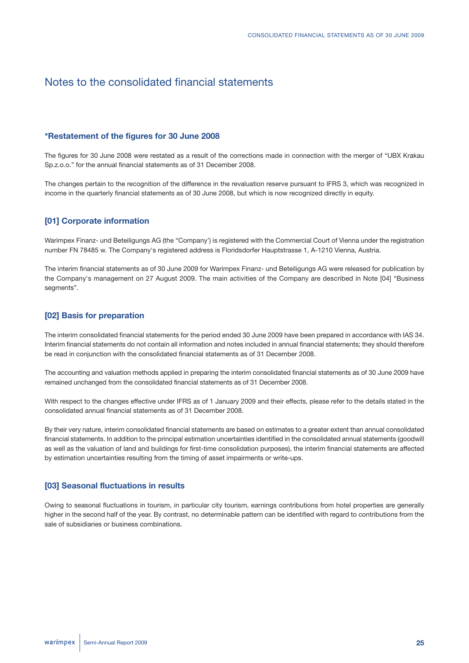# Notes to the consolidated financial statements

## **\*Restatement of the figures for 30 June 2008**

The figures for 30 June 2008 were restated as a result of the corrections made in connection with the merger of "UBX Krakau Sp.z.o.o." for the annual financial statements as of 31 December 2008.

The changes pertain to the recognition of the difference in the revaluation reserve pursuant to IFRS 3, which was recognized in income in the quarterly financial statements as of 30 June 2008, but which is now recognized directly in equity.

## **[01] Corporate information**

Warimpex Finanz- und Beteiligungs AG (the "Company') is registered with the Commercial Court of Vienna under the registration number FN 78485 w. The Company's registered address is Floridsdorfer Hauptstrasse 1, A-1210 Vienna, Austria.

The interim financial statements as of 30 June 2009 for Warimpex Finanz- und Beteiligungs AG were released for publication by the Company's management on 27 August 2009. The main activities of the Company are described in Note [04] "Business segments".

## **[02] Basis for preparation**

The interim consolidated financial statements for the period ended 30 June 2009 have been prepared in accordance with IAS 34. Interim financial statements do not contain all information and notes included in annual financial statements; they should therefore be read in conjunction with the consolidated financial statements as of 31 December 2008.

The accounting and valuation methods applied in preparing the interim consolidated financial statements as of 30 June 2009 have remained unchanged from the consolidated financial statements as of 31 December 2008.

With respect to the changes effective under IFRS as of 1 January 2009 and their effects, please refer to the details stated in the consolidated annual financial statements as of 31 December 2008.

By their very nature, interim consolidated financial statements are based on estimates to a greater extent than annual consolidated financial statements. In addition to the principal estimation uncertainties identified in the consolidated annual statements (goodwill as well as the valuation of land and buildings for first-time consolidation purposes), the interim financial statements are affected by estimation uncertainties resulting from the timing of asset impairments or write-ups.

## **[03] Seasonal fluctuations in results**

Owing to seasonal fluctuations in tourism, in particular city tourism, earnings contributions from hotel properties are generally higher in the second half of the year. By contrast, no determinable pattern can be identified with regard to contributions from the sale of subsidiaries or business combinations.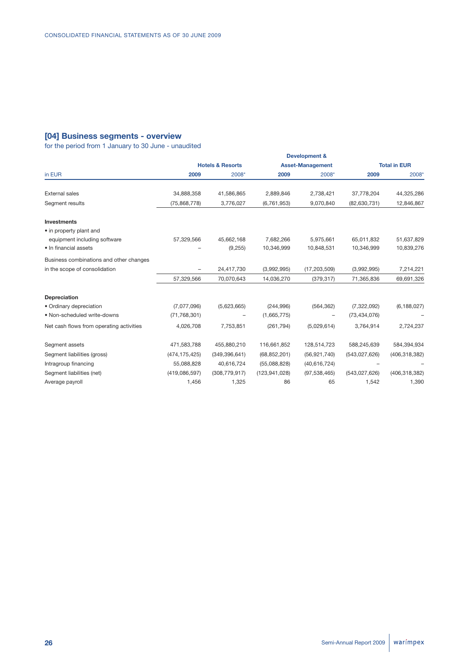# **[04] Business segments - overview**

|                                          | <b>Development &amp;</b> |                             |                 |                         |                |                     |  |  |  |
|------------------------------------------|--------------------------|-----------------------------|-----------------|-------------------------|----------------|---------------------|--|--|--|
|                                          |                          | <b>Hotels &amp; Resorts</b> |                 | <b>Asset-Management</b> |                | <b>Total in EUR</b> |  |  |  |
| in EUR                                   | 2009                     | 2008*                       | 2009            | 2008*                   | 2009           | 2008*               |  |  |  |
| <b>External sales</b>                    | 34,888,358               | 41,586,865                  | 2,889,846       | 2,738,421               | 37,778,204     | 44,325,286          |  |  |  |
| Segment results                          | (75,868,778)             | 3,776,027                   | (6,761,953)     | 9,070,840               | (82,630,731)   | 12,846,867          |  |  |  |
| <b>Investments</b>                       |                          |                             |                 |                         |                |                     |  |  |  |
| • in property plant and                  |                          |                             |                 |                         |                |                     |  |  |  |
| equipment including software             | 57,329,566               | 45,662,168                  | 7,682,266       | 5,975,661               | 65,011,832     | 51,637,829          |  |  |  |
| • In financial assets                    |                          | (9,255)                     | 10,346,999      | 10,848,531              | 10,346,999     | 10,839,276          |  |  |  |
| Business combinations and other changes  |                          |                             |                 |                         |                |                     |  |  |  |
| in the scope of consolidation            | $\overline{\phantom{0}}$ | 24,417,730                  | (3,992,995)     | (17, 203, 509)          | (3,992,995)    | 7,214,221           |  |  |  |
|                                          | 57,329,566               | 70,070,643                  | 14,036,270      | (379, 317)              | 71,365,836     | 69,691,326          |  |  |  |
| <b>Depreciation</b>                      |                          |                             |                 |                         |                |                     |  |  |  |
| • Ordinary depreciation                  | (7,077,096)              | (5,623,665)                 | (244, 996)      | (564, 362)              | (7,322,092)    | (6, 188, 027)       |  |  |  |
| • Non-scheduled write-downs              | (71, 768, 301)           |                             | (1,665,775)     | -                       | (73, 434, 076) |                     |  |  |  |
| Net cash flows from operating activities | 4,026,708                | 7,753,851                   | (261, 794)      | (5,029,614)             | 3,764,914      | 2,724,237           |  |  |  |
| Segment assets                           | 471,583,788              | 455,880,210                 | 116,661,852     | 128,514,723             | 588,245,639    | 584,394,934         |  |  |  |
| Segment liabilities (gross)              | (474, 175, 425)          | (349, 396, 641)             | (68, 852, 201)  | (56, 921, 740)          | (543,027,626)  | (406, 318, 382)     |  |  |  |
| Intragroup financing                     | 55,088,828               | 40,616,724                  | (55,088,828)    | (40, 616, 724)          |                |                     |  |  |  |
| Segment liabilities (net)                | (419, 086, 597)          | (308, 779, 917)             | (123, 941, 028) | (97, 538, 465)          | (543,027,626)  | (406, 318, 382)     |  |  |  |
| Average payroll                          | 1,456                    | 1,325                       | 86              | 65                      | 1,542          | 1,390               |  |  |  |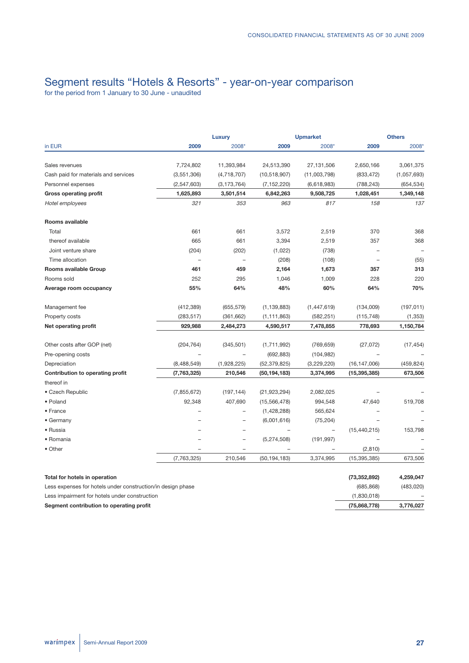# Segment results "Hotels & Resorts" - year-on-year comparison

|                                      |               | <b>Luxury</b>            | <b>Upmarket</b> |                          | <b>Others</b>            |             |  |
|--------------------------------------|---------------|--------------------------|-----------------|--------------------------|--------------------------|-------------|--|
| in EUR                               | 2009          | 2008*                    | 2009            | 2008*                    | 2009                     | 2008*       |  |
| Sales revenues                       | 7,724,802     | 11,393,984               | 24,513,390      | 27,131,506               | 2,650,166                | 3,061,375   |  |
| Cash paid for materials and services | (3,551,306)   | (4,718,707)              | (10,518,907)    | (11,003,798)             | (833, 472)               | (1,057,693) |  |
| Personnel expenses                   | (2,547,603)   | (3, 173, 764)            | (7, 152, 220)   | (6,618,983)              | (788, 243)               | (654, 534)  |  |
| <b>Gross operating profit</b>        | 1,625,893     | 3,501,514                | 6,842,263       | 9,508,725                | 1,028,451                | 1,349,148   |  |
| Hotel employees                      | 321           | 353                      | 963             | 817                      | 158                      | 137         |  |
| Rooms available                      |               |                          |                 |                          |                          |             |  |
| Total                                | 661           | 661                      | 3,572           | 2,519                    | 370                      | 368         |  |
| thereof available                    | 665           | 661                      | 3,394           | 2,519                    | 357                      | 368         |  |
| Joint venture share                  | (204)         | (202)                    | (1,022)         | (738)                    |                          |             |  |
| Time allocation                      |               |                          | (208)           | (108)                    | $\overline{\phantom{0}}$ | (55)        |  |
| Rooms available Group                | 461           | 459                      | 2,164           | 1,673                    | 357                      | 313         |  |
| Rooms sold                           | 252           | 295                      | 1,046           | 1,009                    | 228                      | 220         |  |
| Average room occupancy               | 55%           | 64%                      | 48%             | 60%                      | 64%                      | 70%         |  |
| Management fee                       | (412, 389)    | (655, 579)               | (1, 139, 883)   | (1,447,619)              | (134,009)                | (197, 011)  |  |
| Property costs                       | (283, 517)    | (361, 662)               | (1, 111, 863)   | (582, 251)               | (115, 748)               | (1, 353)    |  |
| Net operating profit                 | 929,988       | 2,484,273                | 4,590,517       | 7,478,855                | 778,693                  | 1,150,784   |  |
| Other costs after GOP (net)          | (204, 764)    | (345, 501)               | (1,711,992)     | (769, 659)               | (27, 072)                | (17, 454)   |  |
| Pre-opening costs                    |               |                          | (692, 883)      | (104, 982)               |                          |             |  |
| Depreciation                         | (8,488,549)   | (1,928,225)              | (52, 379, 825)  | (3,229,220)              | (16, 147, 006)           | (459, 824)  |  |
| Contribution to operating profit     | (7,763,325)   | 210,546                  | (50, 194, 183)  | 3,374,995                | (15, 395, 385)           | 673,506     |  |
| thereof in                           |               |                          |                 |                          |                          |             |  |
| • Czech Republic                     | (7, 855, 672) | (197, 144)               | (21, 923, 294)  | 2,082,025                |                          |             |  |
| · Poland                             | 92,348        | 407,690                  | (15, 566, 478)  | 994,548                  | 47,640                   | 519,708     |  |
| • France                             |               | $\overline{\phantom{0}}$ | (1,428,288)     | 565,624                  |                          |             |  |
| • Germany                            |               | $\overline{\phantom{0}}$ | (6,001,616)     | (75, 204)                |                          |             |  |
| • Russia                             |               | $\overline{\phantom{0}}$ |                 | $\overline{\phantom{a}}$ | (15, 440, 215)           | 153,798     |  |
| • Romania                            |               | $\qquad \qquad -$        | (5,274,508)     | (191, 997)               |                          |             |  |
| • Other                              |               | $\overline{\phantom{m}}$ |                 |                          | (2,810)                  |             |  |
|                                      | (7,763,325)   | 210,546                  | (50, 194, 183)  | 3,374,995                | (15, 395, 385)           | 673,506     |  |
| Total for botale in operation        |               |                          |                 |                          | (73.350.802)             | 4 250 047   |  |

| Total for hotels in operation                               | (73,352,892) | 4.259.047 |
|-------------------------------------------------------------|--------------|-----------|
| Less expenses for hotels under construction/in design phase | (685.868)    | (483.020) |
| Less impairment for hotels under construction               | (1.830.018)  |           |
| Segment contribution to operating profit                    | (75.868.778) | 3.776.027 |
|                                                             |              |           |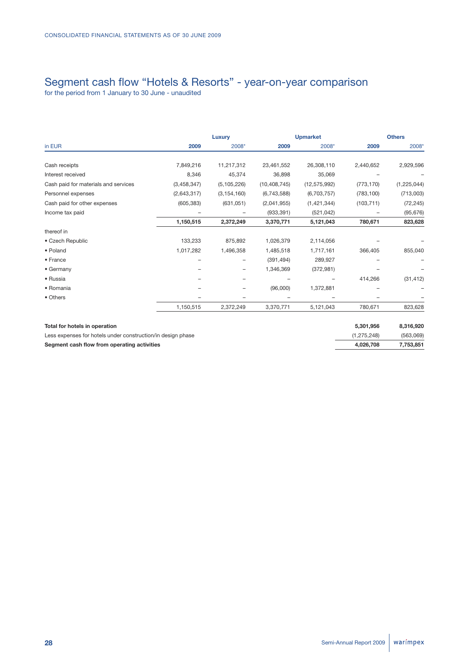# Segment cash flow "Hotels & Resorts" - year-on-year comparison

|                                      |             | Luxury        |                | <b>Upmarket</b> |            | <b>Others</b> |
|--------------------------------------|-------------|---------------|----------------|-----------------|------------|---------------|
| in EUR                               | 2009        | 2008*         | 2009           | 2008*           | 2009       | 2008*         |
| Cash receipts                        | 7,849,216   | 11,217,312    | 23,461,552     | 26,308,110      | 2,440,652  | 2,929,596     |
| Interest received                    | 8,346       | 45,374        | 36,898         | 35,069          |            |               |
| Cash paid for materials and services | (3,458,347) | (5, 105, 226) | (10, 408, 745) | (12, 575, 992)  | (773, 170) | (1, 225, 044) |
| Personnel expenses                   | (2,643,317) | (3, 154, 160) | (6,743,588)    | (6,703,757)     | (783, 100) | (713,003)     |
| Cash paid for other expenses         | (605, 383)  | (631, 051)    | (2,041,955)    | (1, 421, 344)   | (103, 711) | (72, 245)     |
| Income tax paid                      |             |               | (933, 391)     | (521, 042)      |            | (95, 676)     |
|                                      | 1,150,515   | 2,372,249     | 3,370,771      | 5,121,043       | 780,671    | 823,628       |
| thereof in                           |             |               |                |                 |            |               |
| • Czech Republic                     | 133,233     | 875,892       | 1,026,379      | 2,114,056       |            |               |
| • Poland                             | 1,017,282   | 1,496,358     | 1,485,518      | 1,717,161       | 366,405    | 855,040       |
| • France                             |             |               | (391, 494)     | 289,927         |            |               |
| • Germany                            |             | -             | 1,346,369      | (372, 981)      |            |               |
| • Russia                             |             |               |                |                 | 414,266    | (31, 412)     |
| • Romania                            |             |               | (96,000)       | 1,372,881       |            |               |
| • Others                             | -           |               |                |                 |            |               |
|                                      | 1,150,515   | 2,372,249     | 3,370,771      | 5,121,043       | 780,671    | 823,628       |

| Total for hotels in operation                               | 5.301.956   | 8.316.920 |
|-------------------------------------------------------------|-------------|-----------|
| Less expenses for hotels under construction/in design phase | (1.275.248) | (563,069) |
| Segment cash flow from operating activities                 | 4.026.708   | 7.753.851 |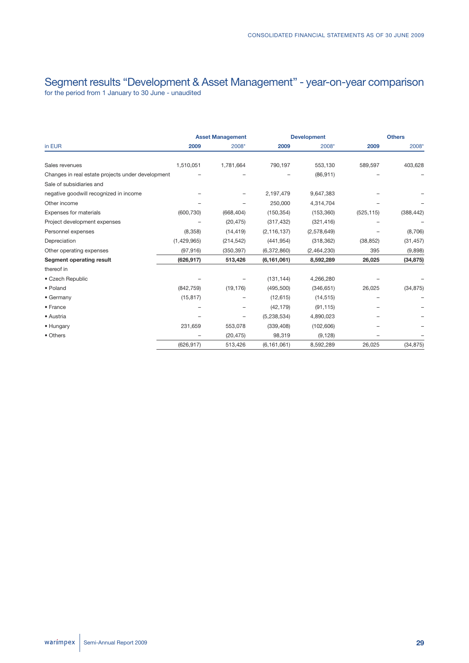# Segment results "Development & Asset Management" - year-on-year comparison for the period from 1 January to 30 June - unaudited

|                                                   |             | <b>Asset Management</b> |               | <b>Development</b> |            | <b>Others</b> |  |
|---------------------------------------------------|-------------|-------------------------|---------------|--------------------|------------|---------------|--|
| in EUR                                            | 2009        | 2008*                   | 2009          | 2008*              | 2009       | 2008*         |  |
| Sales revenues                                    | 1,510,051   | 1,781,664               | 790,197       | 553,130            | 589,597    | 403,628       |  |
| Changes in real estate projects under development |             |                         |               | (86, 911)          |            |               |  |
| Sale of subsidiaries and                          |             |                         |               |                    |            |               |  |
| negative goodwill recognized in income            |             |                         | 2,197,479     | 9,647,383          |            |               |  |
| Other income                                      |             |                         | 250,000       | 4,314,704          |            |               |  |
| Expenses for materials                            | (600, 730)  | (668, 404)              | (150, 354)    | (153, 360)         | (525, 115) | (388, 442)    |  |
| Project development expenses                      |             | (20, 475)               | (317, 432)    | (321, 416)         |            |               |  |
| Personnel expenses                                | (8,358)     | (14, 419)               | (2, 116, 137) | (2,578,649)        |            | (8,706)       |  |
| Depreciation                                      | (1,429,965) | (214, 542)              | (441, 954)    | (318, 362)         | (38, 852)  | (31, 457)     |  |
| Other operating expenses                          | (97, 916)   | (350, 397)              | (6,372,860)   | (2,464,230)        | 395        | (9,898)       |  |
| <b>Segment operating result</b>                   | (626, 917)  | 513,426                 | (6, 161, 061) | 8,592,289          | 26,025     | (34, 875)     |  |
| thereof in                                        |             |                         |               |                    |            |               |  |
| • Czech Republic                                  |             |                         | (131, 144)    | 4,266,280          |            |               |  |
| • Poland                                          | (842, 759)  | (19, 176)               | (495, 500)    | (346, 651)         | 26,025     | (34, 875)     |  |
| • Germany                                         | (15, 817)   |                         | (12, 615)     | (14, 515)          |            |               |  |
| • France                                          |             | -                       | (42, 179)     | (91, 115)          |            |               |  |
| • Austria                                         |             |                         | (5,238,534)   | 4,890,023          |            |               |  |
| • Hungary                                         | 231,659     | 553,078                 | (339, 408)    | (102, 606)         |            |               |  |
| • Others                                          |             | (20, 475)               | 98,319        | (9, 128)           |            |               |  |
|                                                   | (626, 917)  | 513,426                 | (6, 161, 061) | 8,592,289          | 26,025     | (34, 875)     |  |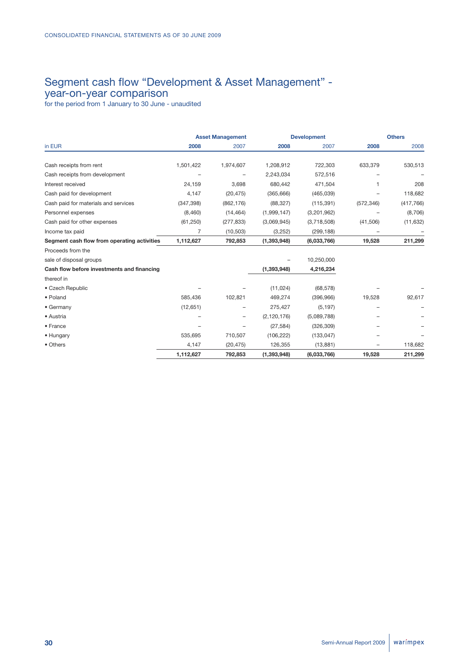# Segment cash flow "Development & Asset Management" year-on-year comparison

|                                             |            | <b>Asset Management</b> |               | <b>Development</b> |            | <b>Others</b> |
|---------------------------------------------|------------|-------------------------|---------------|--------------------|------------|---------------|
| in EUR                                      | 2008       | 2007                    | 2008          | 2007               | 2008       | 2008          |
| Cash receipts from rent                     | 1,501,422  | 1,974,607               | 1,208,912     | 722,303            | 633,379    | 530,513       |
| Cash receipts from development              |            |                         | 2,243,034     | 572,516            |            |               |
| Interest received                           | 24,159     | 3,698                   | 680,442       | 471,504            |            | 208           |
| Cash paid for development                   | 4,147      | (20, 475)               | (365, 666)    | (465, 039)         |            | 118,682       |
| Cash paid for materials and services        | (347, 398) | (862, 176)              | (88, 327)     | (115, 391)         | (572, 346) | (417, 766)    |
| Personnel expenses                          | (8,460)    | (14, 464)               | (1,999,147)   | (3,201,962)        |            | (8,706)       |
| Cash paid for other expenses                | (61, 250)  | (277, 833)              | (3,069,945)   | (3,718,508)        | (41,506)   | (11, 632)     |
| Income tax paid                             | 7          | (10, 503)               | (3,252)       | (299, 188)         |            |               |
| Segment cash flow from operating activities | 1,112,627  | 792,853                 | (1, 393, 948) | (6,033,766)        | 19,528     | 211,299       |
| Proceeds from the                           |            |                         |               |                    |            |               |
| sale of disposal groups                     |            |                         |               | 10,250,000         |            |               |
| Cash flow before investments and financing  |            |                         | (1, 393, 948) | 4,216,234          |            |               |
| thereof in                                  |            |                         |               |                    |            |               |
| • Czech Republic                            |            |                         | (11, 024)     | (68, 578)          |            |               |
| • Poland                                    | 585,436    | 102,821                 | 469,274       | (396, 966)         | 19,528     | 92,617        |
| • Germany                                   | (12,651)   |                         | 275,427       | (5, 197)           |            |               |
| • Austria                                   |            | -                       | (2, 120, 176) | (5,089,788)        |            |               |
| • France                                    |            |                         | (27, 584)     | (326, 309)         |            |               |
| • Hungary                                   | 535,695    | 710,507                 | (106, 222)    | (133, 047)         |            |               |
| • Others                                    | 4,147      | (20, 475)               | 126,355       | (13, 881)          | -          | 118,682       |
|                                             | 1,112,627  | 792,853                 | (1, 393, 948) | (6,033,766)        | 19,528     | 211,299       |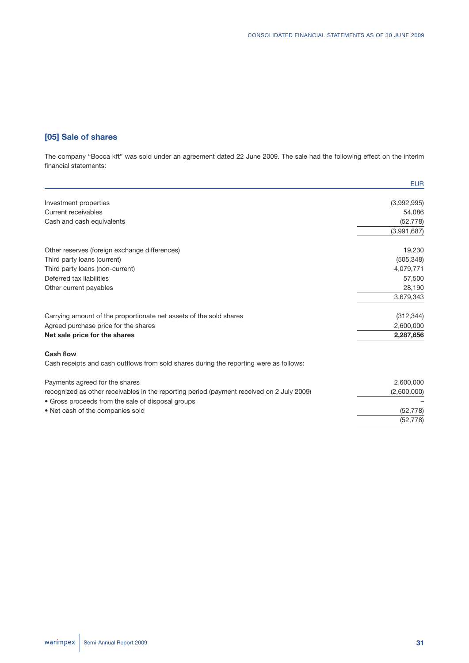# **[05] Sale of shares**

The company "Bocca kft" was sold under an agreement dated 22 June 2009. The sale had the following effect on the interim financial statements:

|                                                                                           | <b>EUR</b>  |
|-------------------------------------------------------------------------------------------|-------------|
| Investment properties                                                                     | (3,992,995) |
| Current receivables                                                                       | 54,086      |
| Cash and cash equivalents                                                                 | (52, 778)   |
|                                                                                           | (3,991,687) |
| Other reserves (foreign exchange differences)                                             | 19,230      |
| Third party loans (current)                                                               | (505, 348)  |
| Third party loans (non-current)                                                           | 4,079,771   |
| Deferred tax liabilities                                                                  | 57,500      |
| Other current payables                                                                    | 28,190      |
|                                                                                           | 3,679,343   |
| Carrying amount of the proportionate net assets of the sold shares                        | (312, 344)  |
| Agreed purchase price for the shares                                                      | 2,600,000   |
| Net sale price for the shares                                                             | 2,287,656   |
| <b>Cash flow</b>                                                                          |             |
| Cash receipts and cash outflows from sold shares during the reporting were as follows:    |             |
| Payments agreed for the shares                                                            | 2,600,000   |
| recognized as other receivables in the reporting period (payment received on 2 July 2009) | (2,600,000) |
| • Gross proceeds from the sale of disposal groups                                         |             |
| • Net cash of the companies sold                                                          | (52, 778)   |
|                                                                                           | (52, 778)   |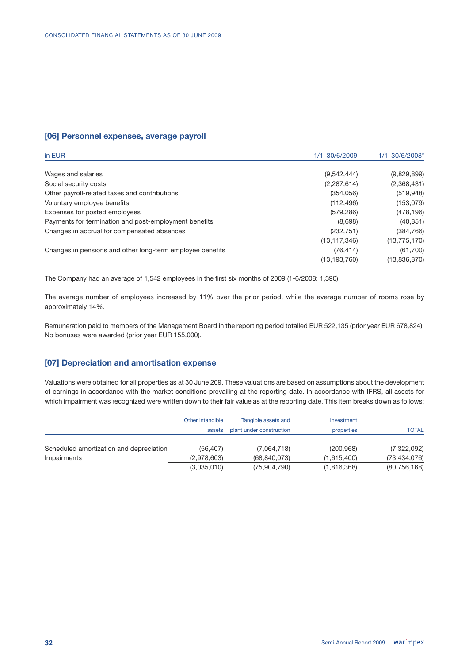## **[06] Personnel expenses, average payroll**

| in EUR                                                    | 1/1-30/6/2009  | 1/1-30/6/2008* |
|-----------------------------------------------------------|----------------|----------------|
|                                                           |                |                |
| Wages and salaries                                        | (9,542,444)    | (9,829,899)    |
| Social security costs                                     | (2, 287, 614)  | (2,368,431)    |
| Other payroll-related taxes and contributions             | (354, 056)     | (519, 948)     |
| Voluntary employee benefits                               | (112, 496)     | (153,079)      |
| Expenses for posted employees                             | (579, 286)     | (478, 196)     |
| Payments for termination and post-employment benefits     | (8,698)        | (40, 851)      |
| Changes in accrual for compensated absences               | (232, 751)     | (384, 766)     |
|                                                           | (13, 117, 346) | (13, 775, 170) |
| Changes in pensions and other long-term employee benefits | (76, 414)      | (61,700)       |
|                                                           | (13, 193, 760) | (13,836,870)   |

The Company had an average of 1,542 employees in the first six months of 2009 (1-6/2008: 1,390).

The average number of employees increased by 11% over the prior period, while the average number of rooms rose by approximately 14%.

Remuneration paid to members of the Management Board in the reporting period totalled EUR 522,135 (prior year EUR 678,824). No bonuses were awarded (prior year EUR 155,000).

# **[07] Depreciation and amortisation expense**

Valuations were obtained for all properties as at 30 June 209. These valuations are based on assumptions about the development of earnings in accordance with the market conditions prevailing at the reporting date. In accordance with IFRS, all assets for which impairment was recognized were written down to their fair value as at the reporting date. This item breaks down as follows:

|                                         | Other intangible<br>assets | Tangible assets and<br>plant under construction | Investment<br>properties | <b>TOTAL</b>   |
|-----------------------------------------|----------------------------|-------------------------------------------------|--------------------------|----------------|
| Scheduled amortization and depreciation | (56.407)                   | (7,064,718)                                     | (200, 968)               | (7,322,092)    |
| Impairments                             | (2,978,603)                | (68, 840, 073)                                  | (1,615,400)              | (73, 434, 076) |
|                                         | (3,035,010)                | (75,904,790)                                    | (1,816,368)              | (80, 756, 168) |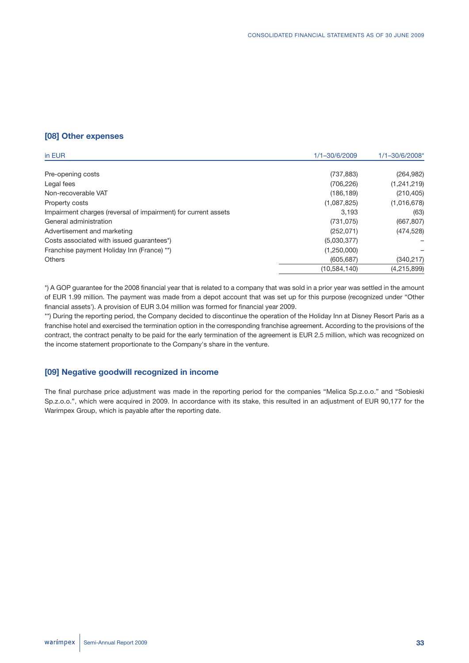# **[08] Other expenses**

| in EUR                                                         | 1/1-30/6/2009  | 1/1-30/6/2008* |
|----------------------------------------------------------------|----------------|----------------|
| Pre-opening costs                                              | (737, 883)     | (264, 982)     |
| Legal fees                                                     | (706, 226)     | (1,241,219)    |
| Non-recoverable VAT                                            | (186, 189)     | (210, 405)     |
| Property costs                                                 | (1,087,825)    | (1,016,678)    |
| Impairment charges (reversal of impairment) for current assets | 3,193          | (63)           |
| General administration                                         | (731, 075)     | (667, 807)     |
| Advertisement and marketing                                    | (252, 071)     | (474, 528)     |
| Costs associated with issued quarantees*)                      | (5,030,377)    |                |
| Franchise payment Holiday Inn (France) **)                     | (1,250,000)    |                |
| <b>Others</b>                                                  | (605, 687)     | (340, 217)     |
|                                                                | (10, 584, 140) | (4,215,899)    |

\*) A GOP guarantee for the 2008 financial year that is related to a company that was sold in a prior year was settled in the amount of EUR 1.99 million. The payment was made from a depot account that was set up for this purpose (recognized under "Other financial assets'). A provision of EUR 3.04 million was formed for financial year 2009.

\*\*) During the reporting period, the Company decided to discontinue the operation of the Holiday Inn at Disney Resort Paris as a franchise hotel and exercised the termination option in the corresponding franchise agreement. According to the provisions of the contract, the contract penalty to be paid for the early termination of the agreement is EUR 2.5 million, which was recognized on the income statement proportionate to the Company's share in the venture.

## **[09] Negative goodwill recognized in income**

The final purchase price adjustment was made in the reporting period for the companies "Melica Sp.z.o.o." and "Sobieski Sp.z.o.o.", which were acquired in 2009. In accordance with its stake, this resulted in an adjustment of EUR 90,177 for the Warimpex Group, which is payable after the reporting date.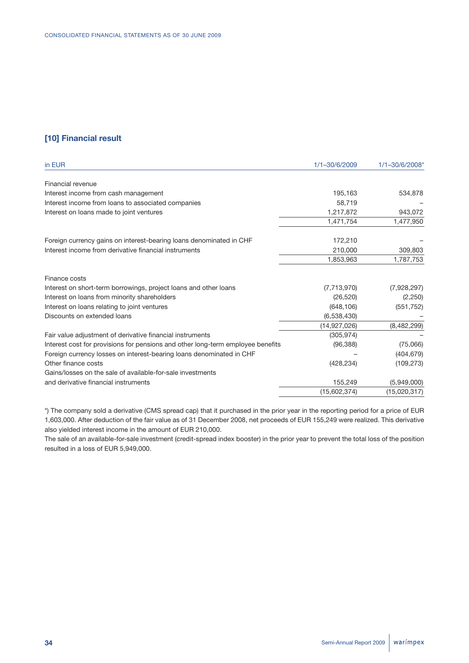# **[10] Financial result**

| in EUR                                                                          | 1/1-30/6/2009 | 1/1-30/6/2008* |
|---------------------------------------------------------------------------------|---------------|----------------|
| Financial revenue                                                               |               |                |
| Interest income from cash management                                            | 195,163       | 534,878        |
| Interest income from loans to associated companies                              | 58,719        |                |
| Interest on loans made to joint ventures                                        | 1,217,872     | 943,072        |
|                                                                                 | 1,471,754     | 1,477,950      |
| Foreign currency gains on interest-bearing loans denominated in CHF             | 172,210       |                |
| Interest income from derivative financial instruments                           | 210,000       | 309,803        |
|                                                                                 | 1,853,963     | 1,787,753      |
| Finance costs                                                                   |               |                |
| Interest on short-term borrowings, project loans and other loans                | (7,713,970)   | (7,928,297)    |
| Interest on loans from minority shareholders                                    | (26, 520)     | (2,250)        |
| Interest on loans relating to joint ventures                                    | (648, 106)    | (551, 752)     |
| Discounts on extended loans                                                     | (6,538,430)   |                |
|                                                                                 | (14,927,026)  | (8,482,299)    |
| Fair value adjustment of derivative financial instruments                       | (305, 974)    |                |
| Interest cost for provisions for pensions and other long-term employee benefits | (96, 388)     | (75,066)       |
| Foreign currency losses on interest-bearing loans denominated in CHF            |               | (404, 679)     |
| Other finance costs                                                             | (428, 234)    | (109, 273)     |
| Gains/losses on the sale of available-for-sale investments                      |               |                |
| and derivative financial instruments                                            | 155,249       | (5,949,000)    |
|                                                                                 | (15,602,374)  | (15,020,317)   |

\*) The company sold a derivative (CMS spread cap) that it purchased in the prior year in the reporting period for a price of EUR 1,603,000. After deduction of the fair value as of 31 December 2008, net proceeds of EUR 155,249 were realized. This derivative also yielded interest income in the amount of EUR 210,000.

The sale of an available-for-sale investment (credit-spread index booster) in the prior year to prevent the total loss of the position resulted in a loss of EUR 5,949,000.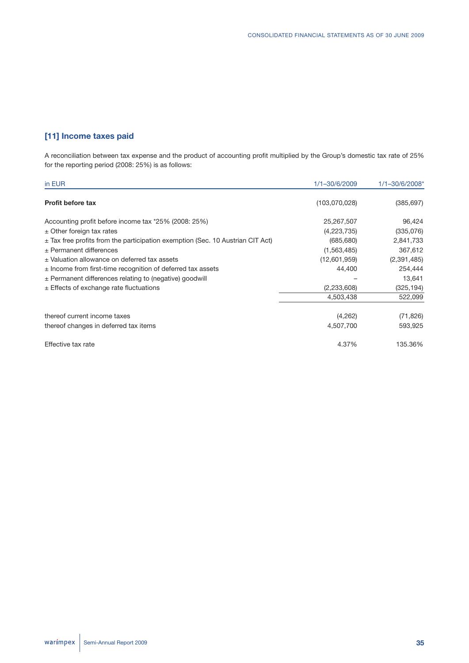# **[11] Income taxes paid**

A reconciliation between tax expense and the product of accounting profit multiplied by the Group's domestic tax rate of 25% for the reporting period (2008: 25%) is as follows:

| in EUR                                                                             | 1/1-30/6/2009 | 1/1-30/6/2008* |
|------------------------------------------------------------------------------------|---------------|----------------|
| <b>Profit before tax</b>                                                           | (103,070,028) | (385, 697)     |
| Accounting profit before income tax *25% (2008: 25%)                               | 25,267,507    | 96,424         |
| $\pm$ Other foreign tax rates                                                      | (4,223,735)   | (335,076)      |
| $\pm$ Tax free profits from the participation exemption (Sec. 10 Austrian CIT Act) | (685, 680)    | 2,841,733      |
| $\pm$ Permanent differences                                                        | (1,563,485)   | 367,612        |
| ± Valuation allowance on deferred tax assets                                       | (12,601,959)  | (2,391,485)    |
| $\pm$ Income from first-time recognition of deferred tax assets                    | 44,400        | 254,444        |
| $\pm$ Permanent differences relating to (negative) goodwill                        |               | 13,641         |
| $\pm$ Effects of exchange rate fluctuations                                        | (2,233,608)   | (325, 194)     |
|                                                                                    | 4,503,438     | 522,099        |
| thereof current income taxes                                                       | (4,262)       | (71, 826)      |
| thereof changes in deferred tax items                                              | 4,507,700     | 593,925        |
| Effective tax rate                                                                 | 4.37%         | 135.36%        |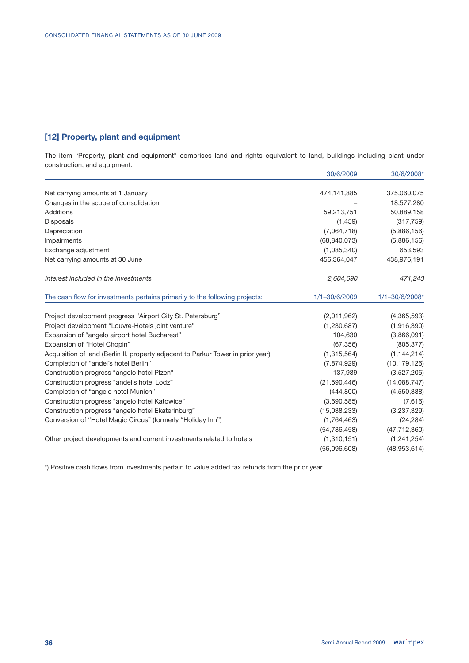# **[12] Property, plant and equipment**

The item "Property, plant and equipment" comprises land and rights equivalent to land, buildings including plant under construction, and equipment.

|                                                                                  | 30/6/2009      | 30/6/2008*     |
|----------------------------------------------------------------------------------|----------------|----------------|
| Net carrying amounts at 1 January                                                | 474,141,885    | 375,060,075    |
| Changes in the scope of consolidation                                            |                | 18,577,280     |
| Additions                                                                        | 59,213,751     | 50,889,158     |
| Disposals                                                                        | (1,459)        | (317, 759)     |
| Depreciation                                                                     | (7,064,718)    | (5,886,156)    |
| Impairments                                                                      | (68, 840, 073) | (5,886,156)    |
| Exchange adjustment                                                              | (1,085,340)    | 653,593        |
| Net carrying amounts at 30 June                                                  | 456,364,047    | 438,976,191    |
| Interest included in the investments                                             | 2,604,690      | 471,243        |
| The cash flow for investments pertains primarily to the following projects:      | 1/1-30/6/2009  | 1/1-30/6/2008* |
| Project development progress "Airport City St. Petersburg"                       | (2,011,962)    | (4,365,593)    |
| Project development "Louvre-Hotels joint venture"                                | (1,230,687)    | (1,916,390)    |
| Expansion of "angelo airport hotel Bucharest"                                    | 104,630        | (3,866,091)    |
| Expansion of "Hotel Chopin"                                                      | (67, 356)      | (805, 377)     |
| Acquisition of land (Berlin II, property adjacent to Parkur Tower in prior year) | (1,315,564)    | (1, 144, 214)  |
| Completion of "andel's hotel Berlin"                                             | (7,874,929)    | (10, 179, 126) |
| Construction progress "angelo hotel Plzen"                                       | 137,939        | (3,527,205)    |
| Construction progress "andel's hotel Lodz"                                       | (21,590,446)   | (14,088,747)   |
| Completion of "angelo hotel Munich"                                              | (444, 800)     | (4,550,388)    |
| Construction progress "angelo hotel Katowice"                                    | (3,690,585)    | (7,616)        |
| Construction progress "angelo hotel Ekaterinburg"                                | (15,038,233)   | (3,237,329)    |
| Conversion of "Hotel Magic Circus" (formerly "Holiday Inn")                      | (1,764,463)    | (24, 284)      |
|                                                                                  | (54, 786, 458) | (47, 712, 360) |
| Other project developments and current investments related to hotels             | (1,310,151)    | (1, 241, 254)  |
|                                                                                  | (56,096,608)   | (48, 953, 614) |

\*) Positive cash flows from investments pertain to value added tax refunds from the prior year.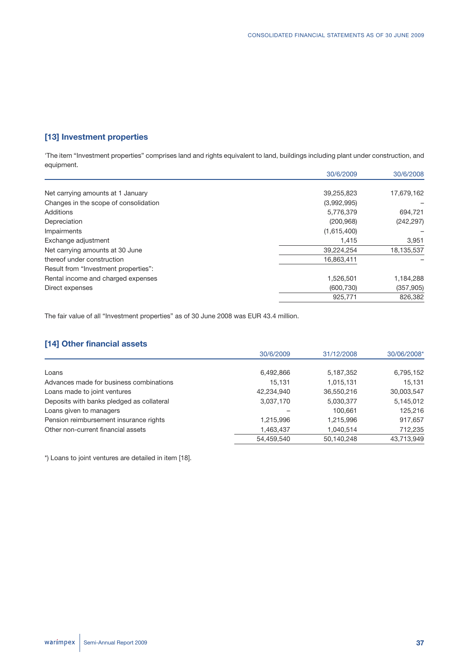# **[13] Investment properties**

'The item "Investment properties" comprises land and rights equivalent to land, buildings including plant under construction, and equipment.

|                                       | 30/6/2009   | 30/6/2008  |
|---------------------------------------|-------------|------------|
|                                       |             |            |
| Net carrying amounts at 1 January     | 39,255,823  | 17,679,162 |
| Changes in the scope of consolidation | (3,992,995) |            |
| Additions                             | 5,776,379   | 694,721    |
| Depreciation                          | (200, 968)  | (242, 297) |
| Impairments                           | (1,615,400) |            |
| Exchange adjustment                   | 1,415       | 3,951      |
| Net carrying amounts at 30 June       | 39,224,254  | 18,135,537 |
| thereof under construction            | 16,863,411  |            |
| Result from "Investment properties":  |             |            |
| Rental income and charged expenses    | 1,526,501   | 1,184,288  |
| Direct expenses                       | (600, 730)  | (357, 905) |
|                                       | 925,771     | 826,382    |
|                                       |             |            |

The fair value of all "Investment properties" as of 30 June 2008 was EUR 43.4 million.

# **[14] Other financial assets**

|                                           | 30/6/2009  | 31/12/2008 | 30/06/2008* |
|-------------------------------------------|------------|------------|-------------|
|                                           |            |            |             |
| Loans                                     | 6,492,866  | 5,187,352  | 6,795,152   |
| Advances made for business combinations   | 15,131     | 1,015,131  | 15,131      |
| Loans made to joint ventures              | 42,234,940 | 36,550,216 | 30,003,547  |
| Deposits with banks pledged as collateral | 3,037,170  | 5,030,377  | 5,145,012   |
| Loans given to managers                   |            | 100.661    | 125,216     |
| Pension reimbursement insurance rights    | 1,215,996  | 1,215,996  | 917,657     |
| Other non-current financial assets        | 1,463,437  | 1,040,514  | 712,235     |
|                                           | 54.459.540 | 50,140,248 | 43.713.949  |

\*) Loans to joint ventures are detailed in item [18].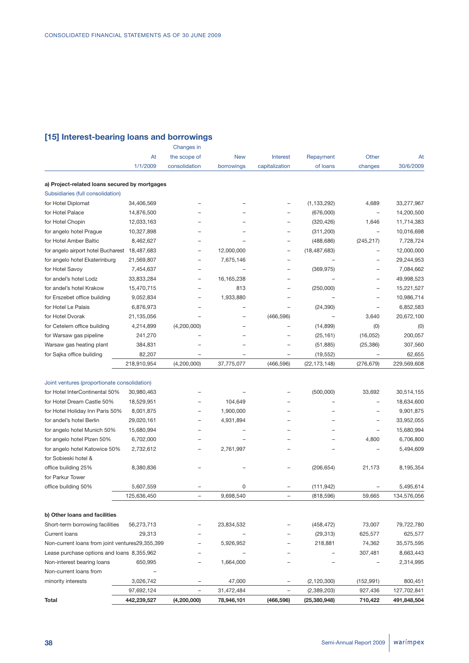# **[15] Interest-bearing loans and borrowings**

|                                                 |             | Changes in               |                          |                          |                |                          |             |
|-------------------------------------------------|-------------|--------------------------|--------------------------|--------------------------|----------------|--------------------------|-------------|
|                                                 | At          | the scope of             | <b>New</b>               | <b>Interest</b>          | Repayment      | Other                    | At          |
|                                                 | 1/1/2009    | consolidation            | borrowings               | capitalization           | of loans       | changes                  | 30/6/2009   |
| a) Project-related loans secured by mortgages   |             |                          |                          |                          |                |                          |             |
| Subsidiaries (full consolidation)               |             |                          |                          |                          |                |                          |             |
| for Hotel Diplomat                              | 34,406,569  |                          |                          |                          | (1, 133, 292)  | 4,689                    | 33,277,967  |
| for Hotel Palace                                | 14,876,500  |                          |                          |                          | (676,000)      |                          | 14,200,500  |
| for Hotel Chopin                                | 12,033,163  |                          |                          |                          | (320, 426)     | 1,646                    | 11,714,383  |
| for angelo hotel Prague                         | 10,327,898  |                          |                          |                          | (311, 200)     | $\overline{\phantom{0}}$ | 10,016,698  |
| for Hotel Amber Baltic                          | 8,462,627   |                          |                          |                          | (488, 686)     | (245, 217)               | 7,728,724   |
| for angelo airport hotel Bucharest              | 18,487,683  |                          | 12,000,000               |                          | (18, 487, 683) | $\overline{\phantom{0}}$ | 12,000,000  |
| for angelo hotel Ekaterinburg                   | 21,569,807  | $\overline{\phantom{0}}$ | 7,675,146                | $\overline{\phantom{0}}$ |                |                          | 29,244,953  |
| for Hotel Savoy                                 | 7,454,637   |                          | $\overline{\phantom{0}}$ |                          | (369, 975)     |                          | 7,084,662   |
| for andel's hotel Lodz                          | 33,833,284  |                          | 16, 165, 238             |                          |                |                          | 49,998,523  |
| for andel's hotel Krakow                        | 15,470,715  |                          | 813                      |                          | (250,000)      |                          | 15,221,527  |
| for Erszebet office building                    | 9,052,834   |                          | 1,933,880                |                          |                |                          | 10,986,714  |
| for Hotel Le Palais                             | 6,876,973   |                          |                          |                          | (24, 390)      |                          | 6,852,583   |
| for Hotel Dvorak                                | 21,135,056  |                          |                          | (466, 596)               |                | 3,640                    | 20,672,100  |
| for Cetelem office building                     | 4,214,899   | (4,200,000)              |                          |                          | (14, 899)      | (0)                      | (0)         |
| for Warsaw gas pipeline                         | 241,270     |                          |                          |                          | (25, 161)      | (16, 052)                | 200,057     |
| Warsaw gas heating plant                        | 384,831     |                          |                          |                          | (51, 885)      | (25, 386)                | 307,560     |
| for Sajka office building                       | 82,207      |                          |                          |                          | (19, 552)      |                          | 62,655      |
|                                                 | 218,910,954 | (4,200,000)              | 37,775,077               | (466, 596)               | (22, 173, 148) | (276, 679)               | 229,569,608 |
|                                                 |             |                          |                          |                          |                |                          |             |
| Joint ventures (proportionate consolidation)    |             |                          |                          |                          |                |                          |             |
| for Hotel InterContinental 50%                  | 30,980,463  |                          |                          |                          | (500,000)      | 33,692                   | 30,514,155  |
| for Hotel Dream Castle 50%                      | 18,529,951  |                          | 104,649                  |                          |                |                          | 18,634,600  |
| for Hotel Holiday Inn Paris 50%                 | 8,001,875   |                          | 1,900,000                |                          |                |                          | 9,901,875   |
| for andel's hotel Berlin                        | 29,020,161  |                          | 4,931,894                |                          |                |                          | 33,952,055  |
| for angelo hotel Munich 50%                     | 15,680,994  |                          |                          |                          |                |                          | 15,680,994  |
| for angelo hotel Plzen 50%                      | 6,702,000   |                          |                          |                          |                | 4,800                    | 6,706,800   |
| for angelo hotel Katowice 50%                   | 2,732,612   |                          | 2,761,997                |                          |                |                          | 5,494,609   |
| for Sobieski hotel &                            |             |                          |                          |                          |                |                          |             |
| office building 25%                             | 8,380,836   |                          |                          |                          | (206, 654)     | 21,173                   | 8,195,354   |
| for Parkur Tower                                |             |                          |                          |                          |                |                          |             |
| office building 50%                             | 5,607,559   |                          | 0                        |                          | (111, 942)     |                          | 5,495,614   |
|                                                 | 125,636,450 |                          | 9,698,540                |                          | (818, 596)     | 59.665                   | 134,576,056 |
| b) Other loans and facilities                   |             |                          |                          |                          |                |                          |             |
| Short-term borrowing facilities                 | 56,273,713  |                          | 23,834,532               |                          | (458, 472)     | 73,007                   | 79,722,780  |
| <b>Current loans</b>                            | 29,313      |                          |                          |                          | (29, 313)      | 625,577                  | 625,577     |
| Non-current loans from joint ventures29,355,399 |             |                          | 5,926,952                |                          | 218,881        | 74,362                   | 35,575,595  |
| Lease purchase options and loans 8,355,962      |             |                          |                          |                          |                | 307,481                  | 8,663,443   |
| Non-interest bearing loans                      | 650,995     |                          | 1,664,000                |                          |                |                          | 2,314,995   |
| Non-current loans from                          |             |                          |                          |                          |                |                          |             |
| minority interests                              | 3,026,742   |                          | 47,000                   |                          | (2, 120, 300)  | (152, 991)               | 800,451     |
|                                                 | 97,692,124  |                          | 31,472,484               |                          | (2,389,203)    | 927,436                  | 127,702,841 |
| Total                                           | 442,239,527 | (4,200,000)              | 78,946,101               | (466, 596)               | (25, 380, 948) | 710,422                  | 491,848,504 |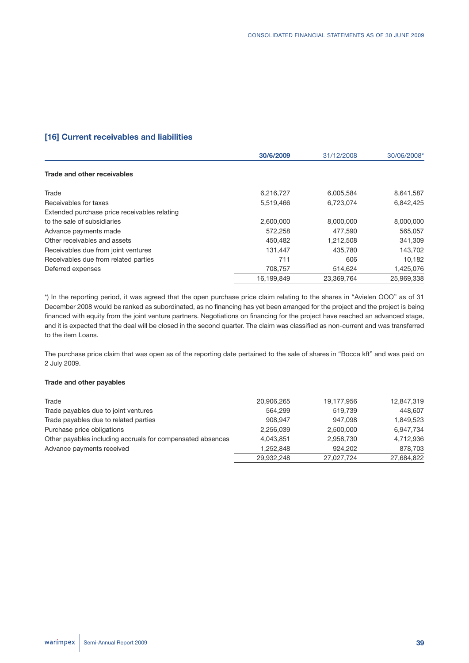# **[16] Current receivables and liabilities**

|                                              | 30/6/2009  | 31/12/2008 | 30/06/2008* |
|----------------------------------------------|------------|------------|-------------|
| Trade and other receivables                  |            |            |             |
| Trade                                        | 6,216,727  | 6,005,584  | 8,641,587   |
| Receivables for taxes                        | 5,519,466  | 6,723,074  | 6,842,425   |
| Extended purchase price receivables relating |            |            |             |
| to the sale of subsidiaries                  | 2,600,000  | 8,000,000  | 8,000,000   |
| Advance payments made                        | 572,258    | 477.590    | 565,057     |
| Other receivables and assets                 | 450.482    | 1,212,508  | 341,309     |
| Receivables due from joint ventures          | 131,447    | 435,780    | 143,702     |
| Receivables due from related parties         | 711        | 606        | 10,182      |
| Deferred expenses                            | 708,757    | 514,624    | 1,425,076   |
|                                              | 16.199.849 | 23.369.764 | 25.969.338  |

\*) In the reporting period, it was agreed that the open purchase price claim relating to the shares in "Avielen OOO" as of 31 December 2008 would be ranked as subordinated, as no financing has yet been arranged for the project and the project is being financed with equity from the joint venture partners. Negotiations on financing for the project have reached an advanced stage, and it is expected that the deal will be closed in the second quarter. The claim was classified as non-current and was transferred to the item Loans.

The purchase price claim that was open as of the reporting date pertained to the sale of shares in "Bocca kft" and was paid on 2 July 2009.

## **Trade and other payables**

| Trade                                                      | 20,906,265 | 19,177,956 | 12.847.319 |
|------------------------------------------------------------|------------|------------|------------|
| Trade payables due to joint ventures                       | 564.299    | 519.739    | 448,607    |
| Trade payables due to related parties                      | 908.947    | 947.098    | 1.849.523  |
| Purchase price obligations                                 | 2.256.039  | 2,500,000  | 6,947,734  |
| Other payables including accruals for compensated absences | 4.043.851  | 2.958.730  | 4,712,936  |
| Advance payments received                                  | 1.252.848  | 924.202    | 878,703    |
|                                                            | 29,932,248 | 27,027,724 | 27,684,822 |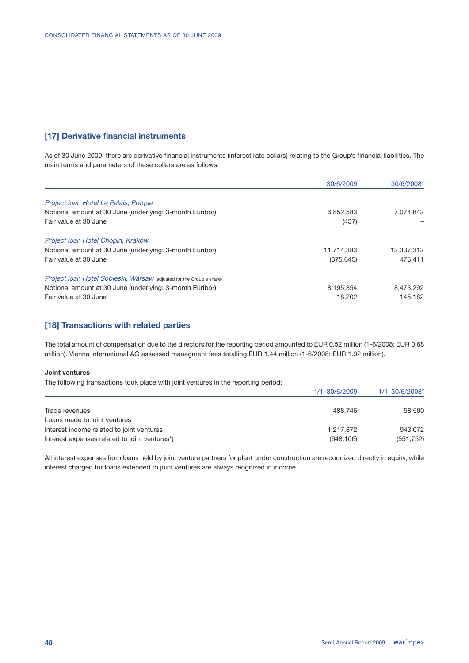# **[17] Derivative financial instruments**

As of 30 June 2009, there are derivative financial instruments (interest rate collars) relating to the Group's financial liabilities. The main terms and parameters of these collars are as follows:

|                                                                      | 30/6/2009  | 30/6/2008* |
|----------------------------------------------------------------------|------------|------------|
| Project Ioan Hotel Le Palais, Praque                                 |            |            |
| Notional amount at 30 June (underlying: 3-month Euribor)             | 6,852,583  | 7,074,842  |
| Fair value at 30 June                                                | (437)      |            |
| Project Ioan Hotel Chopin, Krakow                                    |            |            |
| Notional amount at 30 June (underlying: 3-month Euribor)             | 11,714,383 | 12,337,312 |
| Fair value at 30 June                                                | (375, 645) | 475.411    |
| Project Ioan Hotel Sobieski, Warsaw (adjusted for the Group's share) |            |            |
| Notional amount at 30 June (underlying: 3-month Euribor)             | 8,195,354  | 8,473,292  |
| Fair value at 30 June                                                | 18.202     | 145.182    |

## **[18] Transactions with related parties**

The total amount of compensation due to the directors for the reporting period amounted to EUR 0.52 million (1-6/2008: EUR 0.68 million). Vienna International AG assessed managment fees totalling EUR 1.44 million (1-6/2008: EUR 1.92 million).

#### **Joint ventures**

The following transactions took place with joint ventures in the reporting period:

|                                               | $1/1 - 30/6/2009$ | $1/1 - 30/6/2008$ * |
|-----------------------------------------------|-------------------|---------------------|
|                                               |                   |                     |
| Trade revenues                                | 488.746           | 58,500              |
| Loans made to joint ventures                  |                   |                     |
| Interest income related to joint ventures     | 1,217,872         | 943.072             |
| Interest expenses related to joint ventures*) | (648, 106)        | (551, 752)          |

All interest expenses from loans held by joint venture partners for plant under construction are recognized directly in equity, while interest charged for loans extended to joint ventures are always reognized in income.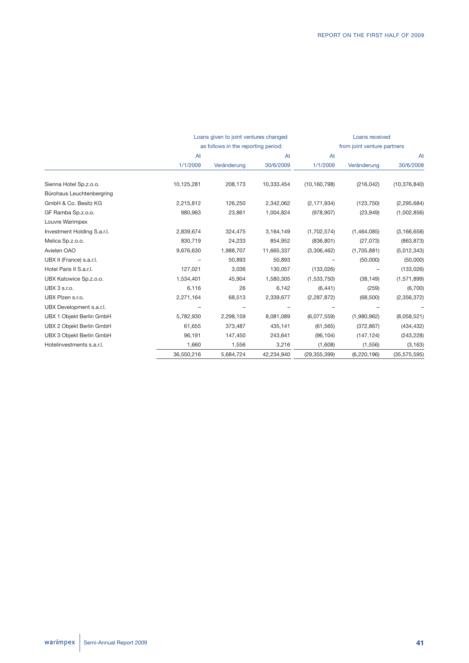|                             |            | Loans given to joint ventures changed<br>as follows in the reporting period: |            |                | Loans received              |                |
|-----------------------------|------------|------------------------------------------------------------------------------|------------|----------------|-----------------------------|----------------|
|                             |            |                                                                              |            |                | from joint venture partners |                |
|                             | At         |                                                                              |            | At             |                             | At             |
|                             | 1/1/2009   | Veränderung                                                                  | 30/6/2009  | 1/1/2009       | Veränderung                 | 30/6/2008      |
| Sienna Hotel Sp.z.o.o.      | 10,125,281 | 208,173                                                                      | 10,333,454 | (10, 160, 798) | (216, 042)                  | (10, 376, 840) |
| Bürohaus Leuchtenbergring   |            |                                                                              |            |                |                             |                |
| GmbH & Co. Besitz KG        | 2,215,812  | 126,250                                                                      | 2,342,062  | (2, 171, 934)  | (123, 750)                  | (2, 295, 684)  |
| GF Ramba Sp.z.o.o.          | 980,963    | 23,861                                                                       | 1,004,824  | (978, 907)     | (23,949)                    | (1,002,856)    |
| Louvre Warimpex             |            |                                                                              |            |                |                             |                |
| Investment Holding S.a.r.l. | 2,839,674  | 324,475                                                                      | 3,164,149  | (1,702,574)    | (1,464,085)                 | (3, 166, 658)  |
| Melica Sp.z.o.o.            | 830,719    | 24,233                                                                       | 854,952    | (836, 801)     | (27,073)                    | (863, 873)     |
| Avielen OAO                 | 9,676,630  | 1,988,707                                                                    | 11,665,337 | (3,306,462)    | (1,705,881)                 | (5,012,343)    |
| UBX II (France) s.a.r.l.    |            | 50,893                                                                       | 50,893     |                | (50,000)                    | (50,000)       |
| Hotel Paris II S.a.r.l.     | 127,021    | 3,036                                                                        | 130,057    | (133,026)      |                             | (133,026)      |
| UBX Katowice Sp.z.o.o.      | 1,534,401  | 45,904                                                                       | 1,580,305  | (1,533,750)    | (38, 149)                   | (1,571,899)    |
| UBX 3 s.r.o.                | 6,116      | 26                                                                           | 6,142      | (6, 441)       | (259)                       | (6,700)        |
| UBX Plzen s.r.o.            | 2,271,164  | 68,513                                                                       | 2,339,677  | (2, 287, 872)  | (68, 500)                   | (2,356,372)    |
| UBX Development s.a.r.l.    |            |                                                                              |            |                |                             |                |
| UBX 1 Objekt Berlin GmbH    | 5,782,930  | 2,298,159                                                                    | 8,081,089  | (6,077,559)    | (1,980,962)                 | (8,058,521)    |
| UBX 2 Objekt Berlin GmbH    | 61,655     | 373,487                                                                      | 435,141    | (61, 565)      | (372, 867)                  | (434, 432)     |
| UBX 3 Objekt Berlin GmbH    | 96,191     | 147,450                                                                      | 243,641    | (96, 104)      | (147, 124)                  | (243, 228)     |
| Hotelinvestments s.a.r.l.   | 1,660      | 1,556                                                                        | 3,216      | (1,608)        | (1,556)                     | (3, 163)       |
|                             | 36,550,216 | 5,684,724                                                                    | 42,234,940 | (29, 355, 399) | (6, 220, 196)               | (35, 575, 595) |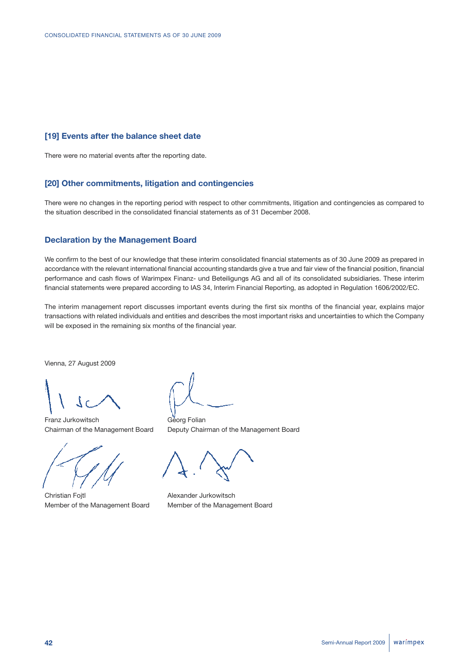## **[19] Events after the balance sheet date**

There were no material events after the reporting date.

## **[20] Other commitments, litigation and contingencies**

There were no changes in the reporting period with respect to other commitments, litigation and contingencies as compared to the situation described in the consolidated financial statements as of 31 December 2008.

### **Declaration by the Management Board**

We confirm to the best of our knowledge that these interim consolidated financial statements as of 30 June 2009 as prepared in accordance with the relevant international financial accounting standards give a true and fair view of the financial position, financial performance and cash flows of Warimpex Finanz- und Beteiligungs AG and all of its consolidated subsidiaries. These interim financial statements were prepared according to IAS 34, Interim Financial Reporting, as adopted in Regulation 1606/2002/EC.

The interim management report discusses important events during the first six months of the financial year, explains major transactions with related individuals and entities and describes the most important risks and uncertainties to which the Company will be exposed in the remaining six months of the financial year.

Vienna, 27 August 2009

Franz Jurkowitsch Georg Folian



Christian Fojtl **Alexander Jurkowitsch** Member of the Management Board Member of the Management Board

Chairman of the Management Board Deputy Chairman of the Management Board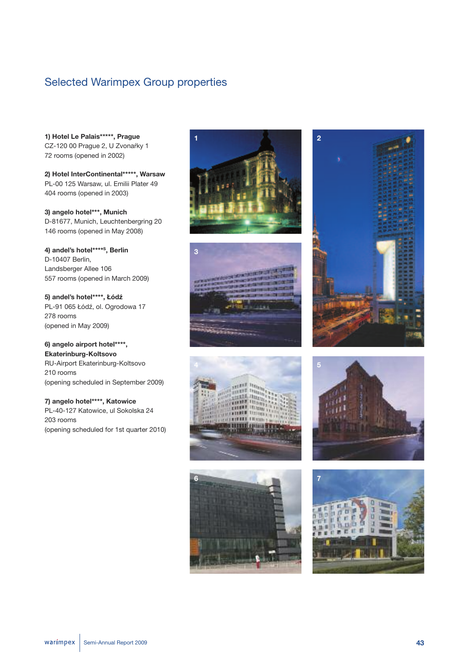# Selected Warimpex Group properties

**1) Hotel Le Palais\*\*\*\*\*, Prague** CZ-120 00 Prague 2, U Zvonaŕky 1 72 rooms (opened in 2002)

**2) Hotel InterContinental\*\*\*\*\*, Warsaw** PL-00 125 Warsaw, ul. Emilii Plater 49 404 rooms (opened in 2003)

**3) angelo hotel\*\*\*, Munich** D-81677, Munich, Leuchtenbergring 20 146 rooms (opened in May 2008)

**4) andel's hotel\*\*\*\*<sup>S</sup>, Berlin** D-10407 Berlin, Landsberger Allee 106 557 rooms (opened in March 2009)

**5) andel's hotel\*\*\*\*, Łódź** PL-91 065 Łódź, ol. Ogrodowa 17 278 rooms (opened in May 2009)

**6) angelo airport hotel\*\*\*\*, Ekaterinburg-Koltsovo** RU-Airport Ekaterinburg-Koltsovo 210 rooms (opening scheduled in September 2009)

**7) angelo hotel\*\*\*\*, Katowice** PL-40-127 Katowice, ul Sokolska 24 203 rooms (opening scheduled for 1st quarter 2010)